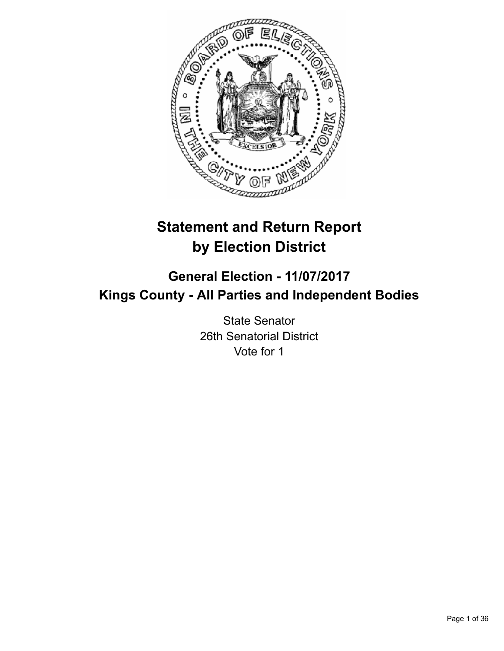

# **Statement and Return Report by Election District**

# **General Election - 11/07/2017 Kings County - All Parties and Independent Bodies**

State Senator 26th Senatorial District Vote for 1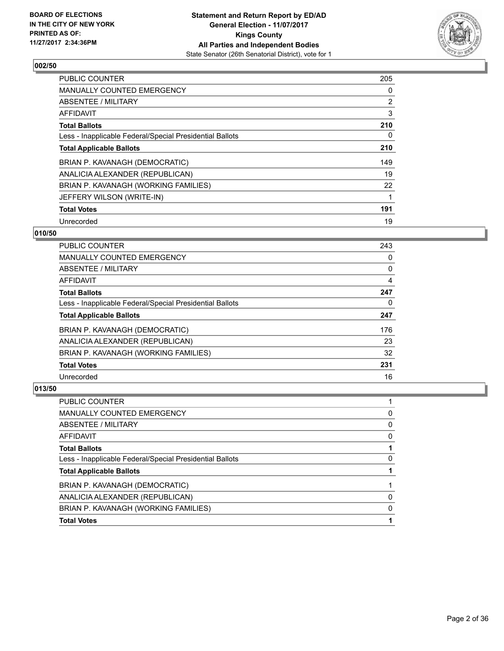

| <b>PUBLIC COUNTER</b>                                    | 205            |
|----------------------------------------------------------|----------------|
| <b>MANUALLY COUNTED EMERGENCY</b>                        | 0              |
| ABSENTEE / MILITARY                                      | $\overline{2}$ |
| AFFIDAVIT                                                | 3              |
| <b>Total Ballots</b>                                     | 210            |
| Less - Inapplicable Federal/Special Presidential Ballots | 0              |
| <b>Total Applicable Ballots</b>                          | 210            |
| BRIAN P. KAVANAGH (DEMOCRATIC)                           | 149            |
| ANALICIA ALEXANDER (REPUBLICAN)                          | 19             |
| BRIAN P. KAVANAGH (WORKING FAMILIES)                     | 22             |
| JEFFERY WILSON (WRITE-IN)                                |                |
| <b>Total Votes</b>                                       | 191            |
| Unrecorded                                               | 19             |

## **010/50**

| <b>PUBLIC COUNTER</b>                                    | 243 |
|----------------------------------------------------------|-----|
| <b>MANUALLY COUNTED EMERGENCY</b>                        | 0   |
| ABSENTEE / MILITARY                                      | 0   |
| AFFIDAVIT                                                | 4   |
| <b>Total Ballots</b>                                     | 247 |
| Less - Inapplicable Federal/Special Presidential Ballots | 0   |
| <b>Total Applicable Ballots</b>                          | 247 |
| BRIAN P. KAVANAGH (DEMOCRATIC)                           | 176 |
| ANALICIA ALEXANDER (REPUBLICAN)                          | 23  |
| BRIAN P. KAVANAGH (WORKING FAMILIES)                     | 32  |
| <b>Total Votes</b>                                       | 231 |
| Unrecorded                                               | 16  |

| PUBLIC COUNTER                                           |   |
|----------------------------------------------------------|---|
| <b>MANUALLY COUNTED EMERGENCY</b>                        | 0 |
| ABSENTEE / MILITARY                                      | 0 |
| AFFIDAVIT                                                | 0 |
| <b>Total Ballots</b>                                     |   |
| Less - Inapplicable Federal/Special Presidential Ballots | 0 |
| <b>Total Applicable Ballots</b>                          |   |
| BRIAN P. KAVANAGH (DEMOCRATIC)                           |   |
| ANALICIA ALEXANDER (REPUBLICAN)                          | 0 |
| BRIAN P. KAVANAGH (WORKING FAMILIES)                     | 0 |
| <b>Total Votes</b>                                       |   |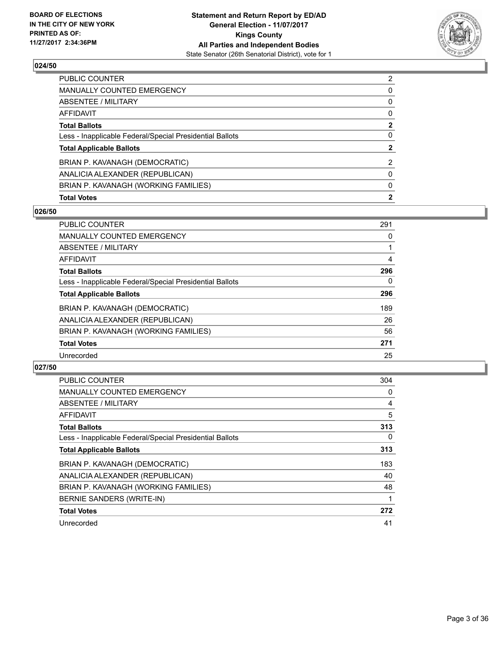

| <b>Total Votes</b>                                       | $\mathbf{2}$   |
|----------------------------------------------------------|----------------|
| BRIAN P. KAVANAGH (WORKING FAMILIES)                     | 0              |
| ANALICIA ALEXANDER (REPUBLICAN)                          | 0              |
| BRIAN P. KAVANAGH (DEMOCRATIC)                           | 2              |
| <b>Total Applicable Ballots</b>                          | $\overline{2}$ |
| Less - Inapplicable Federal/Special Presidential Ballots | 0              |
| <b>Total Ballots</b>                                     | $\mathbf{2}$   |
| AFFIDAVIT                                                | 0              |
| ABSENTEE / MILITARY                                      | 0              |
| MANUALLY COUNTED EMERGENCY                               | 0              |
| PUBLIC COUNTER                                           | $\overline{2}$ |

## **026/50**

| <b>PUBLIC COUNTER</b>                                    | 291 |
|----------------------------------------------------------|-----|
| <b>MANUALLY COUNTED EMERGENCY</b>                        | 0   |
| ABSENTEE / MILITARY                                      |     |
| AFFIDAVIT                                                | 4   |
| <b>Total Ballots</b>                                     | 296 |
| Less - Inapplicable Federal/Special Presidential Ballots | 0   |
| <b>Total Applicable Ballots</b>                          | 296 |
| BRIAN P. KAVANAGH (DEMOCRATIC)                           | 189 |
| ANALICIA ALEXANDER (REPUBLICAN)                          | 26  |
| BRIAN P. KAVANAGH (WORKING FAMILIES)                     | 56  |
| <b>Total Votes</b>                                       | 271 |
| Unrecorded                                               | 25  |

| <b>PUBLIC COUNTER</b>                                    | 304 |
|----------------------------------------------------------|-----|
| <b>MANUALLY COUNTED EMERGENCY</b>                        | 0   |
| ABSENTEE / MILITARY                                      | 4   |
| AFFIDAVIT                                                | 5   |
| <b>Total Ballots</b>                                     | 313 |
| Less - Inapplicable Federal/Special Presidential Ballots | 0   |
| <b>Total Applicable Ballots</b>                          | 313 |
| BRIAN P. KAVANAGH (DEMOCRATIC)                           | 183 |
| ANALICIA ALEXANDER (REPUBLICAN)                          | 40  |
| BRIAN P. KAVANAGH (WORKING FAMILIES)                     | 48  |
| BERNIE SANDERS (WRITE-IN)                                |     |
| <b>Total Votes</b>                                       | 272 |
| Unrecorded                                               | 41  |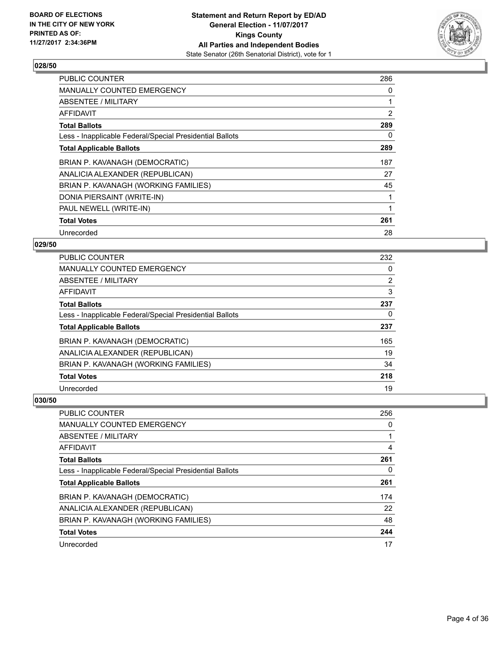

| <b>PUBLIC COUNTER</b>                                    | 286 |
|----------------------------------------------------------|-----|
| <b>MANUALLY COUNTED EMERGENCY</b>                        | 0   |
| ABSENTEE / MILITARY                                      |     |
| AFFIDAVIT                                                | 2   |
| <b>Total Ballots</b>                                     | 289 |
| Less - Inapplicable Federal/Special Presidential Ballots | 0   |
| <b>Total Applicable Ballots</b>                          | 289 |
| BRIAN P. KAVANAGH (DEMOCRATIC)                           | 187 |
| ANALICIA ALEXANDER (REPUBLICAN)                          | 27  |
| BRIAN P. KAVANAGH (WORKING FAMILIES)                     | 45  |
| DONIA PIERSAINT (WRITE-IN)                               |     |
| PAUL NEWELL (WRITE-IN)                                   |     |
| <b>Total Votes</b>                                       | 261 |
| Unrecorded                                               | 28  |

## **029/50**

| <b>PUBLIC COUNTER</b>                                    | 232            |
|----------------------------------------------------------|----------------|
| MANUALLY COUNTED EMERGENCY                               | 0              |
| ABSENTEE / MILITARY                                      | $\overline{2}$ |
| AFFIDAVIT                                                | 3              |
| <b>Total Ballots</b>                                     | 237            |
| Less - Inapplicable Federal/Special Presidential Ballots | 0              |
| <b>Total Applicable Ballots</b>                          | 237            |
| BRIAN P. KAVANAGH (DEMOCRATIC)                           | 165            |
| ANALICIA ALEXANDER (REPUBLICAN)                          | 19             |
| BRIAN P. KAVANAGH (WORKING FAMILIES)                     | 34             |
| <b>Total Votes</b>                                       | 218            |
| Unrecorded                                               | 19             |

| <b>PUBLIC COUNTER</b>                                    | 256 |
|----------------------------------------------------------|-----|
| <b>MANUALLY COUNTED EMERGENCY</b>                        | 0   |
| ABSENTEE / MILITARY                                      |     |
| AFFIDAVIT                                                | 4   |
| <b>Total Ballots</b>                                     | 261 |
| Less - Inapplicable Federal/Special Presidential Ballots | 0   |
| <b>Total Applicable Ballots</b>                          | 261 |
| BRIAN P. KAVANAGH (DEMOCRATIC)                           | 174 |
| ANALICIA ALEXANDER (REPUBLICAN)                          | 22  |
| BRIAN P. KAVANAGH (WORKING FAMILIES)                     | 48  |
| <b>Total Votes</b>                                       | 244 |
| Unrecorded                                               | 17  |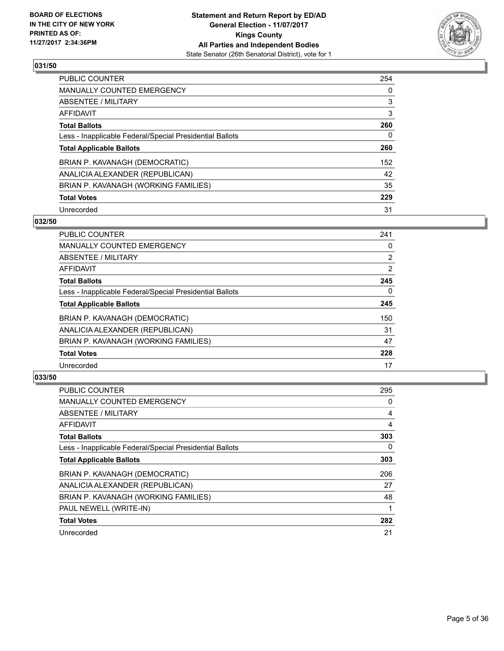

| <b>PUBLIC COUNTER</b>                                    | 254 |
|----------------------------------------------------------|-----|
| MANUALLY COUNTED EMERGENCY                               | 0   |
| ABSENTEE / MILITARY                                      | 3   |
| AFFIDAVIT                                                | 3   |
| <b>Total Ballots</b>                                     | 260 |
| Less - Inapplicable Federal/Special Presidential Ballots | 0   |
| <b>Total Applicable Ballots</b>                          | 260 |
| BRIAN P. KAVANAGH (DEMOCRATIC)                           | 152 |
| ANALICIA ALEXANDER (REPUBLICAN)                          | 42  |
| BRIAN P. KAVANAGH (WORKING FAMILIES)                     | 35  |
| <b>Total Votes</b>                                       | 229 |
| Unrecorded                                               | 31  |

#### **032/50**

| <b>PUBLIC COUNTER</b>                                    | 241            |
|----------------------------------------------------------|----------------|
| <b>MANUALLY COUNTED EMERGENCY</b>                        | 0              |
| ABSENTEE / MILITARY                                      | $\overline{2}$ |
| <b>AFFIDAVIT</b>                                         | 2              |
| <b>Total Ballots</b>                                     | 245            |
| Less - Inapplicable Federal/Special Presidential Ballots | $\Omega$       |
| <b>Total Applicable Ballots</b>                          | 245            |
| BRIAN P. KAVANAGH (DEMOCRATIC)                           | 150            |
| ANALICIA ALEXANDER (REPUBLICAN)                          | 31             |
| BRIAN P. KAVANAGH (WORKING FAMILIES)                     | 47             |
| <b>Total Votes</b>                                       | 228            |
| Unrecorded                                               | 17             |

| <b>PUBLIC COUNTER</b>                                    | 295 |
|----------------------------------------------------------|-----|
| <b>MANUALLY COUNTED EMERGENCY</b>                        | 0   |
| ABSENTEE / MILITARY                                      | 4   |
| AFFIDAVIT                                                | 4   |
| <b>Total Ballots</b>                                     | 303 |
| Less - Inapplicable Federal/Special Presidential Ballots | 0   |
| <b>Total Applicable Ballots</b>                          | 303 |
| BRIAN P. KAVANAGH (DEMOCRATIC)                           | 206 |
| ANALICIA ALEXANDER (REPUBLICAN)                          | 27  |
| BRIAN P. KAVANAGH (WORKING FAMILIES)                     | 48  |
| PAUL NEWELL (WRITE-IN)                                   |     |
| <b>Total Votes</b>                                       | 282 |
| Unrecorded                                               | 21  |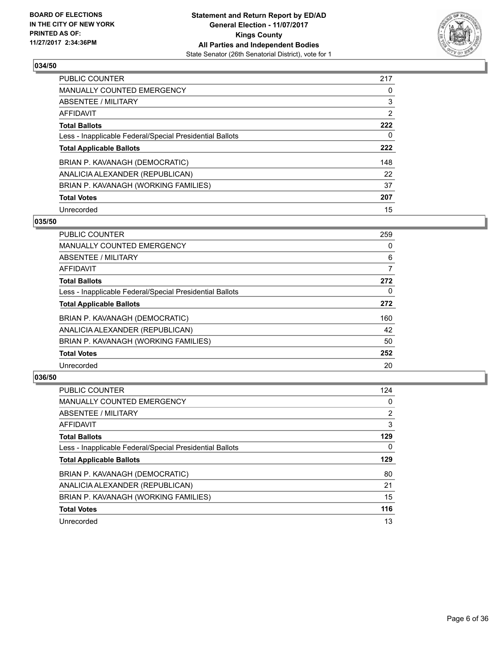

| <b>PUBLIC COUNTER</b>                                    | 217            |
|----------------------------------------------------------|----------------|
| <b>MANUALLY COUNTED EMERGENCY</b>                        | 0              |
| ABSENTEE / MILITARY                                      | 3              |
| AFFIDAVIT                                                | $\overline{2}$ |
| <b>Total Ballots</b>                                     | 222            |
| Less - Inapplicable Federal/Special Presidential Ballots | 0              |
| <b>Total Applicable Ballots</b>                          | 222            |
| BRIAN P. KAVANAGH (DEMOCRATIC)                           | 148            |
| ANALICIA ALEXANDER (REPUBLICAN)                          | 22             |
| BRIAN P. KAVANAGH (WORKING FAMILIES)                     | 37             |
| <b>Total Votes</b>                                       | 207            |
| Unrecorded                                               | 15             |

#### **035/50**

| <b>PUBLIC COUNTER</b>                                    | 259 |
|----------------------------------------------------------|-----|
| <b>MANUALLY COUNTED EMERGENCY</b>                        | 0   |
| ABSENTEE / MILITARY                                      | 6   |
| <b>AFFIDAVIT</b>                                         | 7   |
| <b>Total Ballots</b>                                     | 272 |
| Less - Inapplicable Federal/Special Presidential Ballots | 0   |
| <b>Total Applicable Ballots</b>                          | 272 |
| BRIAN P. KAVANAGH (DEMOCRATIC)                           | 160 |
| ANALICIA ALEXANDER (REPUBLICAN)                          | 42  |
| BRIAN P. KAVANAGH (WORKING FAMILIES)                     | 50  |
| <b>Total Votes</b>                                       | 252 |
| Unrecorded                                               | 20  |

| <b>PUBLIC COUNTER</b>                                    | 124            |
|----------------------------------------------------------|----------------|
| <b>MANUALLY COUNTED EMERGENCY</b>                        | 0              |
| ABSENTEE / MILITARY                                      | $\overline{2}$ |
| AFFIDAVIT                                                | 3              |
| <b>Total Ballots</b>                                     | 129            |
| Less - Inapplicable Federal/Special Presidential Ballots | 0              |
| <b>Total Applicable Ballots</b>                          | 129            |
| BRIAN P. KAVANAGH (DEMOCRATIC)                           | 80             |
| ANALICIA ALEXANDER (REPUBLICAN)                          | 21             |
| BRIAN P. KAVANAGH (WORKING FAMILIES)                     | 15             |
| <b>Total Votes</b>                                       | 116            |
| Unrecorded                                               | 13             |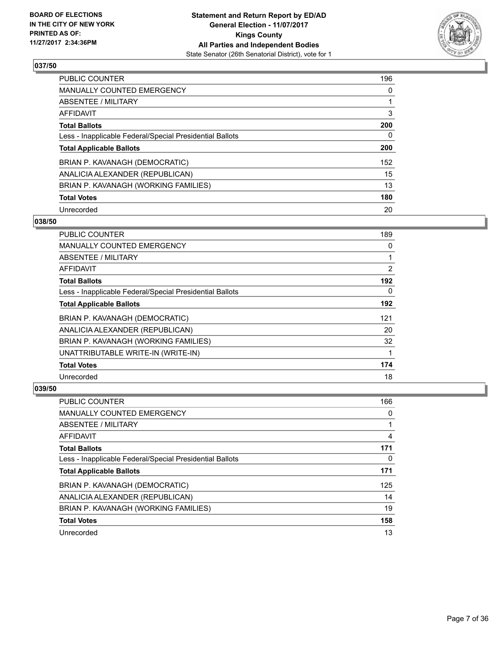

| <b>PUBLIC COUNTER</b>                                    | 196 |
|----------------------------------------------------------|-----|
| <b>MANUALLY COUNTED EMERGENCY</b>                        | 0   |
| ABSENTEE / MILITARY                                      |     |
| AFFIDAVIT                                                | 3   |
| <b>Total Ballots</b>                                     | 200 |
| Less - Inapplicable Federal/Special Presidential Ballots | 0   |
| <b>Total Applicable Ballots</b>                          | 200 |
| BRIAN P. KAVANAGH (DEMOCRATIC)                           | 152 |
| ANALICIA ALEXANDER (REPUBLICAN)                          | 15  |
| BRIAN P. KAVANAGH (WORKING FAMILIES)                     | 13  |
| <b>Total Votes</b>                                       | 180 |
| Unrecorded                                               | 20  |

#### **038/50**

| <b>PUBLIC COUNTER</b>                                    | 189            |
|----------------------------------------------------------|----------------|
| <b>MANUALLY COUNTED EMERGENCY</b>                        | 0              |
| ABSENTEE / MILITARY                                      |                |
| AFFIDAVIT                                                | $\overline{2}$ |
| <b>Total Ballots</b>                                     | 192            |
| Less - Inapplicable Federal/Special Presidential Ballots | 0              |
| <b>Total Applicable Ballots</b>                          | 192            |
| BRIAN P. KAVANAGH (DEMOCRATIC)                           | 121            |
| ANALICIA ALEXANDER (REPUBLICAN)                          | 20             |
| BRIAN P. KAVANAGH (WORKING FAMILIES)                     | 32             |
| UNATTRIBUTABLE WRITE-IN (WRITE-IN)                       |                |
| <b>Total Votes</b>                                       | 174            |
| Unrecorded                                               | 18             |

| <b>PUBLIC COUNTER</b>                                    | 166 |
|----------------------------------------------------------|-----|
| <b>MANUALLY COUNTED EMERGENCY</b>                        | 0   |
| ABSENTEE / MILITARY                                      |     |
| AFFIDAVIT                                                | 4   |
| <b>Total Ballots</b>                                     | 171 |
| Less - Inapplicable Federal/Special Presidential Ballots | 0   |
| <b>Total Applicable Ballots</b>                          | 171 |
| BRIAN P. KAVANAGH (DEMOCRATIC)                           | 125 |
| ANALICIA ALEXANDER (REPUBLICAN)                          | 14  |
| BRIAN P. KAVANAGH (WORKING FAMILIES)                     | 19  |
| <b>Total Votes</b>                                       | 158 |
| Unrecorded                                               | 13  |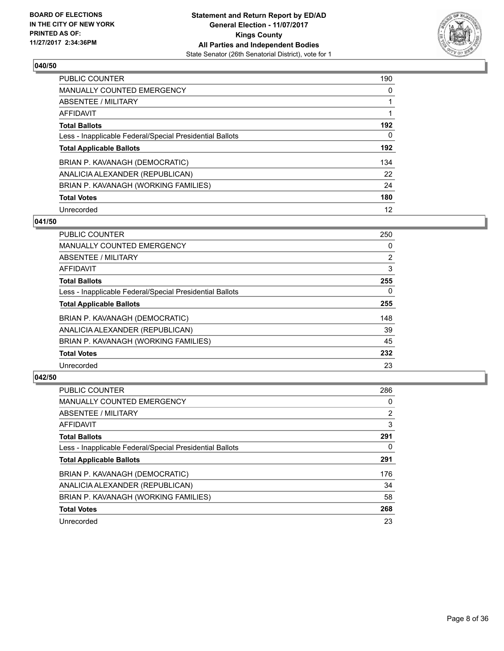

| <b>PUBLIC COUNTER</b>                                    | 190 |
|----------------------------------------------------------|-----|
| MANUALLY COUNTED EMERGENCY                               | 0   |
| ABSENTEE / MILITARY                                      |     |
| AFFIDAVIT                                                |     |
| <b>Total Ballots</b>                                     | 192 |
| Less - Inapplicable Federal/Special Presidential Ballots | 0   |
| <b>Total Applicable Ballots</b>                          | 192 |
| BRIAN P. KAVANAGH (DEMOCRATIC)                           | 134 |
| ANALICIA ALEXANDER (REPUBLICAN)                          | 22  |
| BRIAN P. KAVANAGH (WORKING FAMILIES)                     | 24  |
| <b>Total Votes</b>                                       | 180 |
| Unrecorded                                               | 12  |

#### **041/50**

| <b>PUBLIC COUNTER</b>                                    | 250            |
|----------------------------------------------------------|----------------|
| <b>MANUALLY COUNTED EMERGENCY</b>                        | 0              |
| ABSENTEE / MILITARY                                      | $\overline{2}$ |
| <b>AFFIDAVIT</b>                                         | 3              |
| <b>Total Ballots</b>                                     | 255            |
| Less - Inapplicable Federal/Special Presidential Ballots | $\Omega$       |
| <b>Total Applicable Ballots</b>                          | 255            |
| BRIAN P. KAVANAGH (DEMOCRATIC)                           | 148            |
| ANALICIA ALEXANDER (REPUBLICAN)                          | 39             |
| BRIAN P. KAVANAGH (WORKING FAMILIES)                     | 45             |
| <b>Total Votes</b>                                       | 232            |
| Unrecorded                                               | 23             |

| <b>PUBLIC COUNTER</b>                                    | 286 |
|----------------------------------------------------------|-----|
| <b>MANUALLY COUNTED EMERGENCY</b>                        | 0   |
| ABSENTEE / MILITARY                                      | 2   |
| <b>AFFIDAVIT</b>                                         | 3   |
| <b>Total Ballots</b>                                     | 291 |
| Less - Inapplicable Federal/Special Presidential Ballots | 0   |
| <b>Total Applicable Ballots</b>                          | 291 |
| BRIAN P. KAVANAGH (DEMOCRATIC)                           | 176 |
| ANALICIA ALEXANDER (REPUBLICAN)                          | 34  |
| BRIAN P. KAVANAGH (WORKING FAMILIES)                     | 58  |
| <b>Total Votes</b>                                       | 268 |
| Unrecorded                                               | 23  |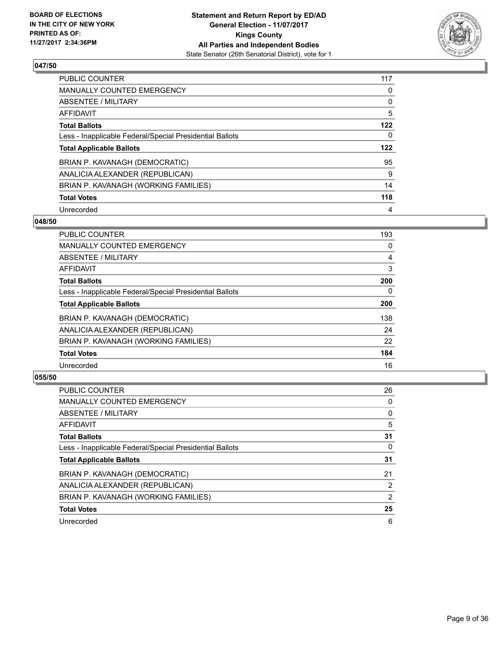

| <b>PUBLIC COUNTER</b>                                    | 117 |
|----------------------------------------------------------|-----|
| MANUALLY COUNTED EMERGENCY                               | 0   |
| ABSENTEE / MILITARY                                      | 0   |
| AFFIDAVIT                                                | 5   |
| <b>Total Ballots</b>                                     | 122 |
| Less - Inapplicable Federal/Special Presidential Ballots | 0   |
| <b>Total Applicable Ballots</b>                          | 122 |
| BRIAN P. KAVANAGH (DEMOCRATIC)                           | 95  |
| ANALICIA ALEXANDER (REPUBLICAN)                          | 9   |
| BRIAN P. KAVANAGH (WORKING FAMILIES)                     | 14  |
| <b>Total Votes</b>                                       | 118 |
| Unrecorded                                               | 4   |

#### **048/50**

| <b>PUBLIC COUNTER</b>                                    | 193      |
|----------------------------------------------------------|----------|
| MANUALLY COUNTED EMERGENCY                               | 0        |
| ABSENTEE / MILITARY                                      | 4        |
| <b>AFFIDAVIT</b>                                         | 3        |
| <b>Total Ballots</b>                                     | 200      |
| Less - Inapplicable Federal/Special Presidential Ballots | $\Omega$ |
| <b>Total Applicable Ballots</b>                          | 200      |
| BRIAN P. KAVANAGH (DEMOCRATIC)                           | 138      |
| ANALICIA ALEXANDER (REPUBLICAN)                          | 24       |
| BRIAN P. KAVANAGH (WORKING FAMILIES)                     | 22       |
| <b>Total Votes</b>                                       | 184      |
| Unrecorded                                               | 16       |

| <b>PUBLIC COUNTER</b>                                    | 26             |
|----------------------------------------------------------|----------------|
| <b>MANUALLY COUNTED EMERGENCY</b>                        | 0              |
| ABSENTEE / MILITARY                                      | 0              |
| AFFIDAVIT                                                | 5              |
| <b>Total Ballots</b>                                     | 31             |
| Less - Inapplicable Federal/Special Presidential Ballots | 0              |
| <b>Total Applicable Ballots</b>                          | 31             |
| BRIAN P. KAVANAGH (DEMOCRATIC)                           | 21             |
| ANALICIA ALEXANDER (REPUBLICAN)                          | $\overline{2}$ |
| BRIAN P. KAVANAGH (WORKING FAMILIES)                     | 2              |
| <b>Total Votes</b>                                       | 25             |
| Unrecorded                                               | 6              |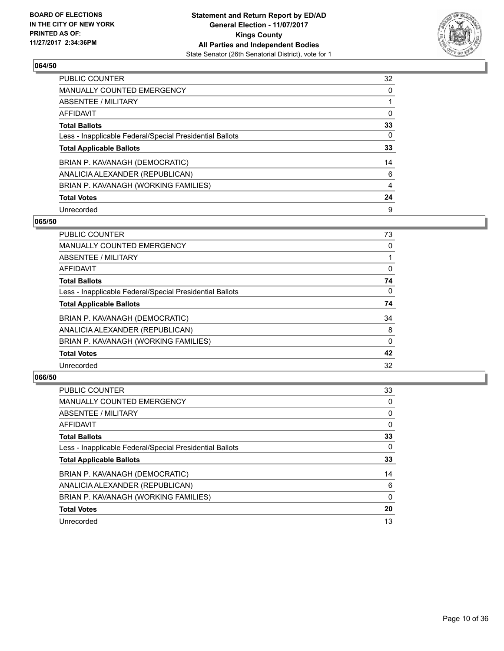

| <b>PUBLIC COUNTER</b>                                    | 32 |
|----------------------------------------------------------|----|
| <b>MANUALLY COUNTED EMERGENCY</b>                        | 0  |
| ABSENTEE / MILITARY                                      |    |
| AFFIDAVIT                                                | 0  |
| <b>Total Ballots</b>                                     | 33 |
| Less - Inapplicable Federal/Special Presidential Ballots | 0  |
| <b>Total Applicable Ballots</b>                          | 33 |
| BRIAN P. KAVANAGH (DEMOCRATIC)                           | 14 |
| ANALICIA ALEXANDER (REPUBLICAN)                          | 6  |
| BRIAN P. KAVANAGH (WORKING FAMILIES)                     | 4  |
| <b>Total Votes</b>                                       | 24 |
| Unrecorded                                               | 9  |

#### **065/50**

| <b>PUBLIC COUNTER</b>                                    | 73       |
|----------------------------------------------------------|----------|
| <b>MANUALLY COUNTED EMERGENCY</b>                        | 0        |
| ABSENTEE / MILITARY                                      |          |
| AFFIDAVIT                                                | 0        |
| <b>Total Ballots</b>                                     | 74       |
| Less - Inapplicable Federal/Special Presidential Ballots | $\Omega$ |
| <b>Total Applicable Ballots</b>                          | 74       |
| BRIAN P. KAVANAGH (DEMOCRATIC)                           | 34       |
| ANALICIA ALEXANDER (REPUBLICAN)                          | 8        |
| BRIAN P. KAVANAGH (WORKING FAMILIES)                     | 0        |
| <b>Total Votes</b>                                       | 42       |
| Unrecorded                                               | 32       |
|                                                          |          |

| <b>PUBLIC COUNTER</b>                                    | 33 |
|----------------------------------------------------------|----|
| <b>MANUALLY COUNTED EMERGENCY</b>                        | 0  |
| ABSENTEE / MILITARY                                      | 0  |
| AFFIDAVIT                                                | 0  |
| <b>Total Ballots</b>                                     | 33 |
| Less - Inapplicable Federal/Special Presidential Ballots | 0  |
| <b>Total Applicable Ballots</b>                          | 33 |
| BRIAN P. KAVANAGH (DEMOCRATIC)                           | 14 |
| ANALICIA ALEXANDER (REPUBLICAN)                          | 6  |
| BRIAN P. KAVANAGH (WORKING FAMILIES)                     | 0  |
| <b>Total Votes</b>                                       | 20 |
| Unrecorded                                               | 13 |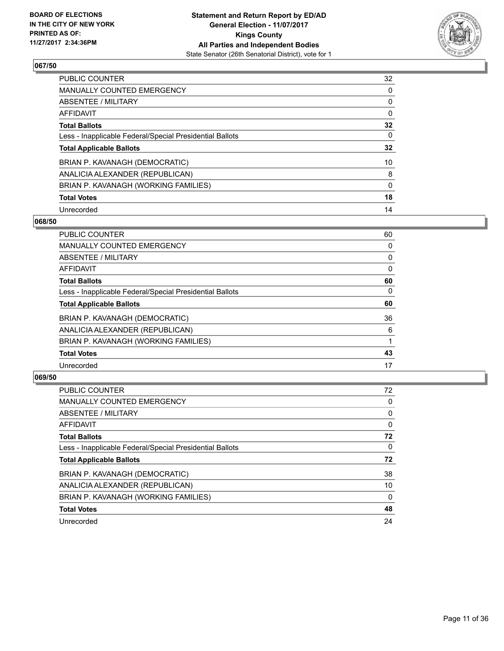

| <b>PUBLIC COUNTER</b>                                    | 32 |
|----------------------------------------------------------|----|
| MANUALLY COUNTED EMERGENCY                               | 0  |
| ABSENTEE / MILITARY                                      | 0  |
| AFFIDAVIT                                                | 0  |
| <b>Total Ballots</b>                                     | 32 |
| Less - Inapplicable Federal/Special Presidential Ballots | 0  |
| <b>Total Applicable Ballots</b>                          | 32 |
| BRIAN P. KAVANAGH (DEMOCRATIC)                           | 10 |
| ANALICIA ALEXANDER (REPUBLICAN)                          | 8  |
| BRIAN P. KAVANAGH (WORKING FAMILIES)                     | 0  |
| <b>Total Votes</b>                                       | 18 |
| Unrecorded                                               | 14 |

#### **068/50**

| <b>PUBLIC COUNTER</b>                                    | 60       |
|----------------------------------------------------------|----------|
| <b>MANUALLY COUNTED EMERGENCY</b>                        | 0        |
| ABSENTEE / MILITARY                                      | 0        |
| <b>AFFIDAVIT</b>                                         | 0        |
| <b>Total Ballots</b>                                     | 60       |
| Less - Inapplicable Federal/Special Presidential Ballots | $\Omega$ |
| <b>Total Applicable Ballots</b>                          | 60       |
| BRIAN P. KAVANAGH (DEMOCRATIC)                           | 36       |
| ANALICIA ALEXANDER (REPUBLICAN)                          | 6        |
| BRIAN P. KAVANAGH (WORKING FAMILIES)                     |          |
| <b>Total Votes</b>                                       | 43       |
| Unrecorded                                               | 17       |

| <b>PUBLIC COUNTER</b>                                    | 72 |
|----------------------------------------------------------|----|
| <b>MANUALLY COUNTED EMERGENCY</b>                        | 0  |
| ABSENTEE / MILITARY                                      | 0  |
| AFFIDAVIT                                                | 0  |
| <b>Total Ballots</b>                                     | 72 |
| Less - Inapplicable Federal/Special Presidential Ballots | 0  |
| <b>Total Applicable Ballots</b>                          | 72 |
| BRIAN P. KAVANAGH (DEMOCRATIC)                           | 38 |
| ANALICIA ALEXANDER (REPUBLICAN)                          | 10 |
| BRIAN P. KAVANAGH (WORKING FAMILIES)                     | 0  |
| <b>Total Votes</b>                                       | 48 |
| Unrecorded                                               | 24 |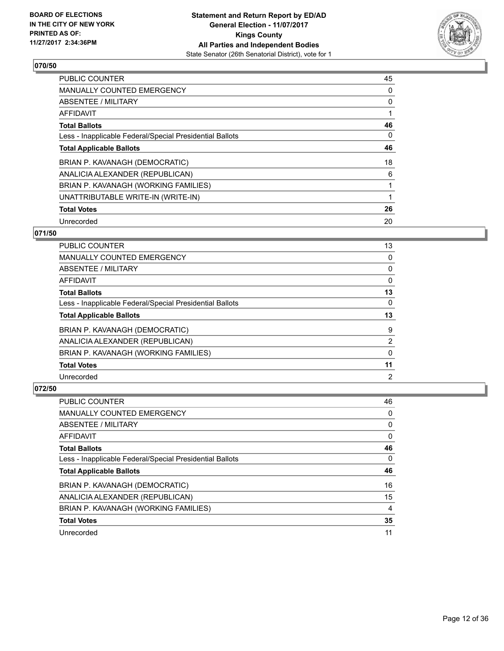

| <b>PUBLIC COUNTER</b>                                    | 45 |
|----------------------------------------------------------|----|
| <b>MANUALLY COUNTED EMERGENCY</b>                        | 0  |
| ABSENTEE / MILITARY                                      | 0  |
| <b>AFFIDAVIT</b>                                         |    |
| <b>Total Ballots</b>                                     | 46 |
| Less - Inapplicable Federal/Special Presidential Ballots | 0  |
| <b>Total Applicable Ballots</b>                          | 46 |
| BRIAN P. KAVANAGH (DEMOCRATIC)                           | 18 |
| ANALICIA ALEXANDER (REPUBLICAN)                          | 6  |
| BRIAN P. KAVANAGH (WORKING FAMILIES)                     |    |
| UNATTRIBUTABLE WRITE-IN (WRITE-IN)                       |    |
| <b>Total Votes</b>                                       | 26 |
| Unrecorded                                               | 20 |

# **071/50**

| <b>PUBLIC COUNTER</b>                                    | 13 |
|----------------------------------------------------------|----|
| <b>MANUALLY COUNTED EMERGENCY</b>                        | 0  |
| ABSENTEE / MILITARY                                      | 0  |
| AFFIDAVIT                                                | 0  |
| <b>Total Ballots</b>                                     | 13 |
| Less - Inapplicable Federal/Special Presidential Ballots | 0  |
| <b>Total Applicable Ballots</b>                          | 13 |
| BRIAN P. KAVANAGH (DEMOCRATIC)                           | 9  |
| ANALICIA ALEXANDER (REPUBLICAN)                          | 2  |
| BRIAN P. KAVANAGH (WORKING FAMILIES)                     | 0  |
| <b>Total Votes</b>                                       | 11 |
| Unrecorded                                               | 2  |

| <b>PUBLIC COUNTER</b>                                    | 46 |
|----------------------------------------------------------|----|
| <b>MANUALLY COUNTED EMERGENCY</b>                        | 0  |
| ABSENTEE / MILITARY                                      | 0  |
| AFFIDAVIT                                                | 0  |
| <b>Total Ballots</b>                                     | 46 |
| Less - Inapplicable Federal/Special Presidential Ballots | 0  |
| <b>Total Applicable Ballots</b>                          | 46 |
|                                                          |    |
| BRIAN P. KAVANAGH (DEMOCRATIC)                           | 16 |
| ANALICIA ALEXANDER (REPUBLICAN)                          | 15 |
| BRIAN P. KAVANAGH (WORKING FAMILIES)                     | 4  |
| <b>Total Votes</b>                                       | 35 |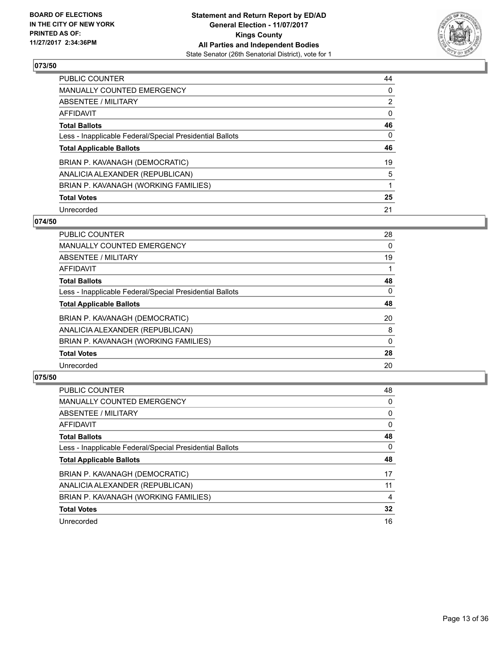

| <b>PUBLIC COUNTER</b>                                    | 44             |
|----------------------------------------------------------|----------------|
| MANUALLY COUNTED EMERGENCY                               | 0              |
| ABSENTEE / MILITARY                                      | $\overline{2}$ |
| AFFIDAVIT                                                | 0              |
| <b>Total Ballots</b>                                     | 46             |
| Less - Inapplicable Federal/Special Presidential Ballots | 0              |
| <b>Total Applicable Ballots</b>                          | 46             |
| BRIAN P. KAVANAGH (DEMOCRATIC)                           | 19             |
| ANALICIA ALEXANDER (REPUBLICAN)                          | 5              |
| BRIAN P. KAVANAGH (WORKING FAMILIES)                     |                |
| <b>Total Votes</b>                                       | 25             |
| Unrecorded                                               | 21             |

#### **074/50**

| <b>PUBLIC COUNTER</b>                                    | 28           |
|----------------------------------------------------------|--------------|
| <b>MANUALLY COUNTED EMERGENCY</b>                        | 0            |
| ABSENTEE / MILITARY                                      | 19           |
| <b>AFFIDAVIT</b>                                         |              |
| <b>Total Ballots</b>                                     | 48           |
| Less - Inapplicable Federal/Special Presidential Ballots | $\Omega$     |
| <b>Total Applicable Ballots</b>                          | 48           |
| BRIAN P. KAVANAGH (DEMOCRATIC)                           | 20           |
| ANALICIA ALEXANDER (REPUBLICAN)                          | 8            |
| BRIAN P. KAVANAGH (WORKING FAMILIES)                     | $\mathbf{0}$ |
| <b>Total Votes</b>                                       | 28           |
| Unrecorded                                               | 20           |

| <b>PUBLIC COUNTER</b>                                    | 48 |
|----------------------------------------------------------|----|
| <b>MANUALLY COUNTED EMERGENCY</b>                        | 0  |
| ABSENTEE / MILITARY                                      | 0  |
| AFFIDAVIT                                                | 0  |
| <b>Total Ballots</b>                                     | 48 |
| Less - Inapplicable Federal/Special Presidential Ballots | 0  |
| <b>Total Applicable Ballots</b>                          | 48 |
| BRIAN P. KAVANAGH (DEMOCRATIC)                           | 17 |
| ANALICIA ALEXANDER (REPUBLICAN)                          | 11 |
| BRIAN P. KAVANAGH (WORKING FAMILIES)                     | 4  |
| <b>Total Votes</b>                                       | 32 |
| Unrecorded                                               | 16 |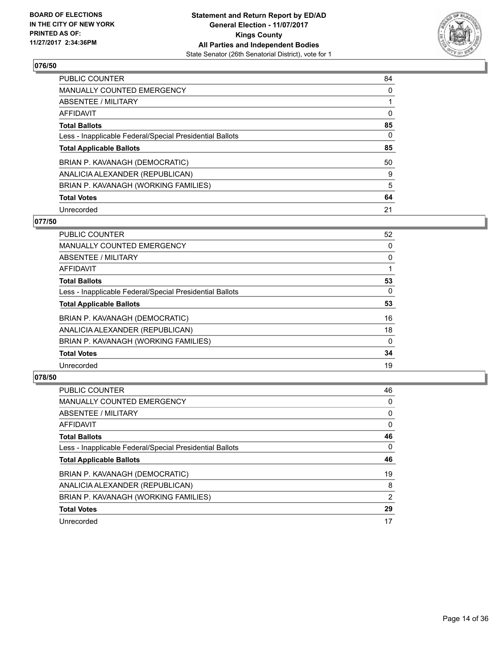

| <b>PUBLIC COUNTER</b>                                    | 84 |
|----------------------------------------------------------|----|
| MANUALLY COUNTED EMERGENCY                               | 0  |
| ABSENTEE / MILITARY                                      |    |
| AFFIDAVIT                                                | 0  |
| <b>Total Ballots</b>                                     | 85 |
| Less - Inapplicable Federal/Special Presidential Ballots | 0  |
| <b>Total Applicable Ballots</b>                          | 85 |
| BRIAN P. KAVANAGH (DEMOCRATIC)                           | 50 |
| ANALICIA ALEXANDER (REPUBLICAN)                          | 9  |
| BRIAN P. KAVANAGH (WORKING FAMILIES)                     | 5  |
| <b>Total Votes</b>                                       | 64 |
| Unrecorded                                               | 21 |

#### **077/50**

| <b>PUBLIC COUNTER</b>                                    | 52       |
|----------------------------------------------------------|----------|
| <b>MANUALLY COUNTED EMERGENCY</b>                        | 0        |
| ABSENTEE / MILITARY                                      | 0        |
| AFFIDAVIT                                                |          |
| <b>Total Ballots</b>                                     | 53       |
| Less - Inapplicable Federal/Special Presidential Ballots | $\Omega$ |
| <b>Total Applicable Ballots</b>                          | 53       |
| BRIAN P. KAVANAGH (DEMOCRATIC)                           | 16       |
| ANALICIA ALEXANDER (REPUBLICAN)                          | 18       |
| BRIAN P. KAVANAGH (WORKING FAMILIES)                     | $\Omega$ |
| <b>Total Votes</b>                                       | 34       |
| Unrecorded                                               | 19       |
|                                                          |          |

| <b>PUBLIC COUNTER</b>                                    | 46 |
|----------------------------------------------------------|----|
| <b>MANUALLY COUNTED EMERGENCY</b>                        | 0  |
| ABSENTEE / MILITARY                                      | 0  |
| AFFIDAVIT                                                | 0  |
| <b>Total Ballots</b>                                     | 46 |
| Less - Inapplicable Federal/Special Presidential Ballots | 0  |
| <b>Total Applicable Ballots</b>                          | 46 |
| BRIAN P. KAVANAGH (DEMOCRATIC)                           | 19 |
|                                                          |    |
| ANALICIA ALEXANDER (REPUBLICAN)                          | 8  |
| BRIAN P. KAVANAGH (WORKING FAMILIES)                     | 2  |
| <b>Total Votes</b>                                       | 29 |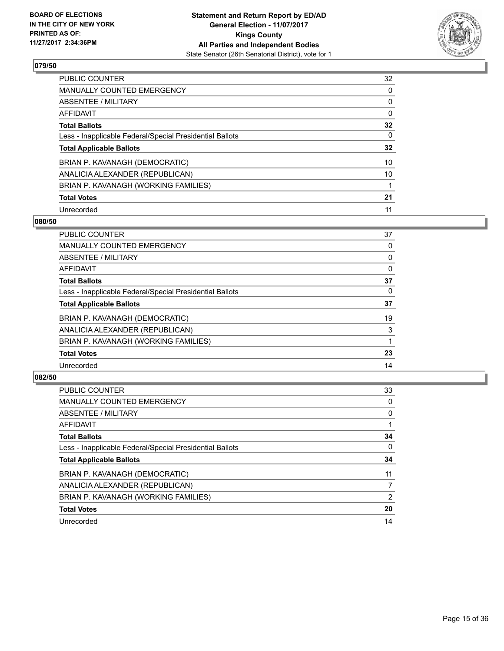

| <b>PUBLIC COUNTER</b>                                    | 32 |
|----------------------------------------------------------|----|
| MANUALLY COUNTED EMERGENCY                               | 0  |
| ABSENTEE / MILITARY                                      | 0  |
| AFFIDAVIT                                                | 0  |
| <b>Total Ballots</b>                                     | 32 |
| Less - Inapplicable Federal/Special Presidential Ballots | 0  |
| <b>Total Applicable Ballots</b>                          | 32 |
| BRIAN P. KAVANAGH (DEMOCRATIC)                           | 10 |
| ANALICIA ALEXANDER (REPUBLICAN)                          | 10 |
| BRIAN P. KAVANAGH (WORKING FAMILIES)                     |    |
| <b>Total Votes</b>                                       | 21 |
| Unrecorded                                               | 11 |

#### **080/50**

| <b>PUBLIC COUNTER</b>                                    | 37       |
|----------------------------------------------------------|----------|
| <b>MANUALLY COUNTED EMERGENCY</b>                        | 0        |
| ABSENTEE / MILITARY                                      | 0        |
| AFFIDAVIT                                                | 0        |
| <b>Total Ballots</b>                                     | 37       |
| Less - Inapplicable Federal/Special Presidential Ballots | $\Omega$ |
| <b>Total Applicable Ballots</b>                          | 37       |
| BRIAN P. KAVANAGH (DEMOCRATIC)                           | 19       |
| ANALICIA ALEXANDER (REPUBLICAN)                          | 3        |
| BRIAN P. KAVANAGH (WORKING FAMILIES)                     |          |
| <b>Total Votes</b>                                       | 23       |
| Unrecorded                                               | 14       |

| <b>PUBLIC COUNTER</b>                                    | 33 |
|----------------------------------------------------------|----|
| <b>MANUALLY COUNTED EMERGENCY</b>                        | 0  |
| ABSENTEE / MILITARY                                      | 0  |
| AFFIDAVIT                                                |    |
| <b>Total Ballots</b>                                     | 34 |
| Less - Inapplicable Federal/Special Presidential Ballots | 0  |
| <b>Total Applicable Ballots</b>                          | 34 |
| BRIAN P. KAVANAGH (DEMOCRATIC)                           | 11 |
| ANALICIA ALEXANDER (REPUBLICAN)                          | 7  |
| BRIAN P. KAVANAGH (WORKING FAMILIES)                     | 2  |
| <b>Total Votes</b>                                       | 20 |
| Unrecorded                                               | 14 |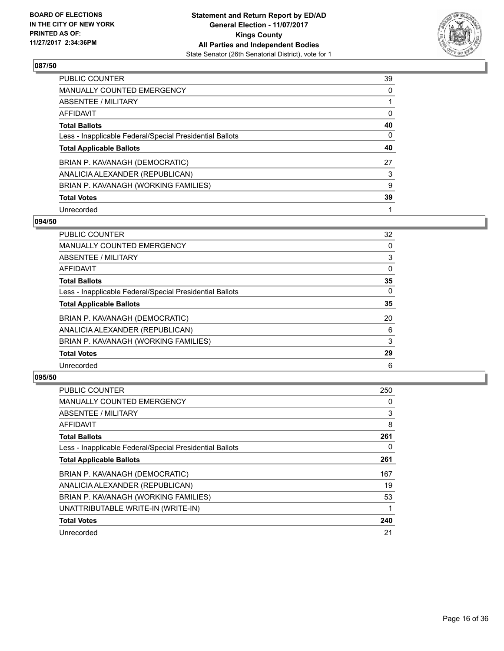

| <b>PUBLIC COUNTER</b>                                    | 39 |
|----------------------------------------------------------|----|
| MANUALLY COUNTED EMERGENCY                               | 0  |
| ABSENTEE / MILITARY                                      |    |
| AFFIDAVIT                                                | 0  |
| <b>Total Ballots</b>                                     | 40 |
| Less - Inapplicable Federal/Special Presidential Ballots | 0  |
| <b>Total Applicable Ballots</b>                          | 40 |
| BRIAN P. KAVANAGH (DEMOCRATIC)                           | 27 |
| ANALICIA ALEXANDER (REPUBLICAN)                          | 3  |
| BRIAN P. KAVANAGH (WORKING FAMILIES)                     | 9  |
| <b>Total Votes</b>                                       | 39 |
| Unrecorded                                               |    |

#### **094/50**

| <b>PUBLIC COUNTER</b>                                    | 32       |
|----------------------------------------------------------|----------|
| <b>MANUALLY COUNTED EMERGENCY</b>                        | 0        |
| ABSENTEE / MILITARY                                      | 3        |
| AFFIDAVIT                                                | 0        |
| <b>Total Ballots</b>                                     | 35       |
| Less - Inapplicable Federal/Special Presidential Ballots | $\Omega$ |
| <b>Total Applicable Ballots</b>                          | 35       |
| BRIAN P. KAVANAGH (DEMOCRATIC)                           | 20       |
| ANALICIA ALEXANDER (REPUBLICAN)                          | 6        |
| BRIAN P. KAVANAGH (WORKING FAMILIES)                     | 3        |
| <b>Total Votes</b>                                       | 29       |
| Unrecorded                                               | 6        |

| <b>PUBLIC COUNTER</b>                                    | 250 |
|----------------------------------------------------------|-----|
| <b>MANUALLY COUNTED EMERGENCY</b>                        | 0   |
| ABSENTEE / MILITARY                                      | 3   |
| <b>AFFIDAVIT</b>                                         | 8   |
| <b>Total Ballots</b>                                     | 261 |
| Less - Inapplicable Federal/Special Presidential Ballots | 0   |
| <b>Total Applicable Ballots</b>                          | 261 |
| BRIAN P. KAVANAGH (DEMOCRATIC)                           | 167 |
| ANALICIA ALEXANDER (REPUBLICAN)                          | 19  |
| BRIAN P. KAVANAGH (WORKING FAMILIES)                     | 53  |
| UNATTRIBUTABLE WRITE-IN (WRITE-IN)                       |     |
| <b>Total Votes</b>                                       | 240 |
| Unrecorded                                               | 21  |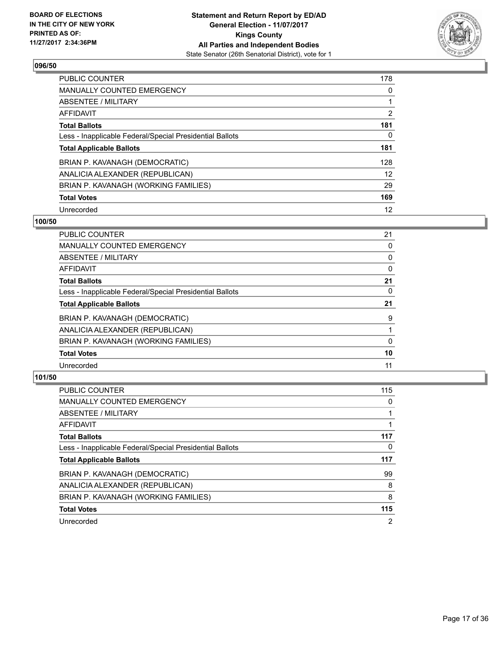

| <b>PUBLIC COUNTER</b>                                    | 178 |
|----------------------------------------------------------|-----|
| MANUALLY COUNTED EMERGENCY                               | 0   |
| ABSENTEE / MILITARY                                      |     |
| AFFIDAVIT                                                | 2   |
| <b>Total Ballots</b>                                     | 181 |
| Less - Inapplicable Federal/Special Presidential Ballots | 0   |
| <b>Total Applicable Ballots</b>                          | 181 |
| BRIAN P. KAVANAGH (DEMOCRATIC)                           | 128 |
| ANALICIA ALEXANDER (REPUBLICAN)                          | 12  |
| BRIAN P. KAVANAGH (WORKING FAMILIES)                     | 29  |
| <b>Total Votes</b>                                       | 169 |
| Unrecorded                                               | 12  |

#### **100/50**

| <b>PUBLIC COUNTER</b>                                    | 21 |
|----------------------------------------------------------|----|
| MANUALLY COUNTED EMERGENCY                               | 0  |
| ABSENTEE / MILITARY                                      | 0  |
| AFFIDAVIT                                                | 0  |
| <b>Total Ballots</b>                                     | 21 |
| Less - Inapplicable Federal/Special Presidential Ballots | 0  |
| <b>Total Applicable Ballots</b>                          | 21 |
| BRIAN P. KAVANAGH (DEMOCRATIC)                           | 9  |
| ANALICIA ALEXANDER (REPUBLICAN)                          |    |
| BRIAN P. KAVANAGH (WORKING FAMILIES)                     | 0  |
| <b>Total Votes</b>                                       | 10 |
| Unrecorded                                               | 11 |

| <b>PUBLIC COUNTER</b>                                    | 115            |
|----------------------------------------------------------|----------------|
| <b>MANUALLY COUNTED EMERGENCY</b>                        | 0              |
| ABSENTEE / MILITARY                                      |                |
| <b>AFFIDAVIT</b>                                         |                |
| <b>Total Ballots</b>                                     | 117            |
| Less - Inapplicable Federal/Special Presidential Ballots | 0              |
| <b>Total Applicable Ballots</b>                          | 117            |
| BRIAN P. KAVANAGH (DEMOCRATIC)                           | 99             |
| ANALICIA ALEXANDER (REPUBLICAN)                          | 8              |
| BRIAN P. KAVANAGH (WORKING FAMILIES)                     | 8              |
| <b>Total Votes</b>                                       | 115            |
| Unrecorded                                               | $\overline{2}$ |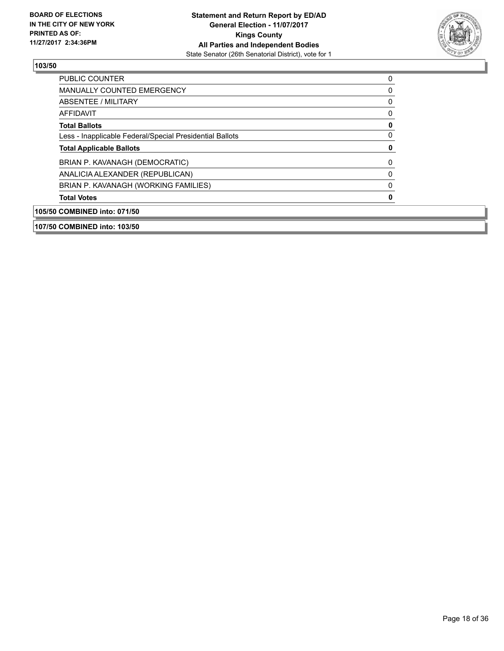

| 107/50 COMBINED into: 103/50                             |   |
|----------------------------------------------------------|---|
| 105/50 COMBINED into: 071/50                             |   |
| <b>Total Votes</b>                                       | 0 |
| BRIAN P. KAVANAGH (WORKING FAMILIES)                     | 0 |
| ANALICIA ALEXANDER (REPUBLICAN)                          | 0 |
| BRIAN P. KAVANAGH (DEMOCRATIC)                           | 0 |
| <b>Total Applicable Ballots</b>                          | 0 |
| Less - Inapplicable Federal/Special Presidential Ballots | 0 |
| <b>Total Ballots</b>                                     | 0 |
| AFFIDAVIT                                                | 0 |
| ABSENTEE / MILITARY                                      | 0 |
| <b>MANUALLY COUNTED EMERGENCY</b>                        | 0 |
| <b>PUBLIC COUNTER</b>                                    | 0 |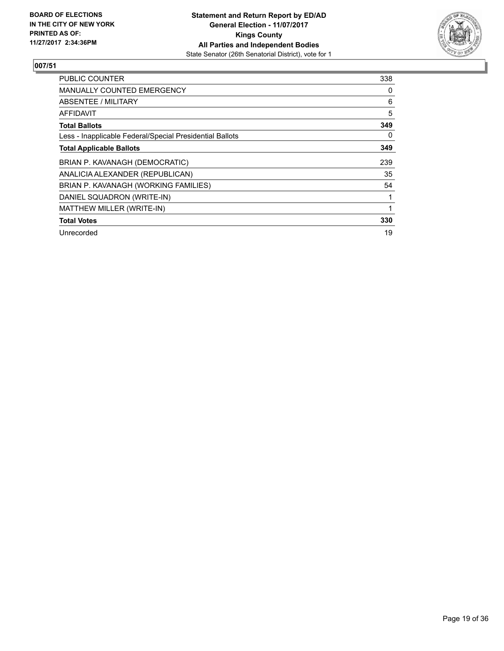![](_page_18_Picture_2.jpeg)

| <b>PUBLIC COUNTER</b>                                    | 338 |
|----------------------------------------------------------|-----|
| <b>MANUALLY COUNTED EMERGENCY</b>                        | 0   |
| ABSENTEE / MILITARY                                      | 6   |
| AFFIDAVIT                                                | 5   |
| <b>Total Ballots</b>                                     | 349 |
| Less - Inapplicable Federal/Special Presidential Ballots | 0   |
| <b>Total Applicable Ballots</b>                          | 349 |
| BRIAN P. KAVANAGH (DEMOCRATIC)                           | 239 |
| ANALICIA ALEXANDER (REPUBLICAN)                          | 35  |
| BRIAN P. KAVANAGH (WORKING FAMILIES)                     | 54  |
| DANIEL SQUADRON (WRITE-IN)                               |     |
| MATTHEW MILLER (WRITE-IN)                                |     |
| <b>Total Votes</b>                                       | 330 |
| Unrecorded                                               | 19  |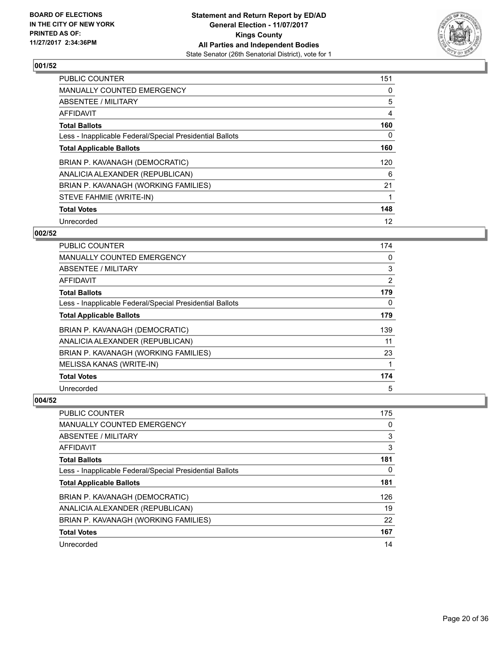![](_page_19_Picture_2.jpeg)

| <b>PUBLIC COUNTER</b>                                    | 151 |
|----------------------------------------------------------|-----|
| <b>MANUALLY COUNTED EMERGENCY</b>                        | 0   |
| ABSENTEE / MILITARY                                      | 5   |
| <b>AFFIDAVIT</b>                                         | 4   |
| <b>Total Ballots</b>                                     | 160 |
| Less - Inapplicable Federal/Special Presidential Ballots | 0   |
| <b>Total Applicable Ballots</b>                          | 160 |
| BRIAN P. KAVANAGH (DEMOCRATIC)                           | 120 |
| ANALICIA ALEXANDER (REPUBLICAN)                          | 6   |
| BRIAN P. KAVANAGH (WORKING FAMILIES)                     | 21  |
| STEVE FAHMIE (WRITE-IN)                                  |     |
| <b>Total Votes</b>                                       | 148 |
| Unrecorded                                               | 12  |

## **002/52**

| <b>PUBLIC COUNTER</b>                                    | 174 |
|----------------------------------------------------------|-----|
| MANUALLY COUNTED EMERGENCY                               | 0   |
| ABSENTEE / MILITARY                                      | 3   |
| AFFIDAVIT                                                | 2   |
| <b>Total Ballots</b>                                     | 179 |
| Less - Inapplicable Federal/Special Presidential Ballots | 0   |
| <b>Total Applicable Ballots</b>                          | 179 |
| BRIAN P. KAVANAGH (DEMOCRATIC)                           | 139 |
| ANALICIA ALEXANDER (REPUBLICAN)                          | 11  |
| BRIAN P. KAVANAGH (WORKING FAMILIES)                     | 23  |
| MELISSA KANAS (WRITE-IN)                                 |     |
| <b>Total Votes</b>                                       | 174 |
| Unrecorded                                               | 5   |

| <b>PUBLIC COUNTER</b>                                    | 175 |
|----------------------------------------------------------|-----|
| MANUALLY COUNTED EMERGENCY                               | 0   |
| ABSENTEE / MILITARY                                      | 3   |
| AFFIDAVIT                                                | 3   |
| <b>Total Ballots</b>                                     | 181 |
| Less - Inapplicable Federal/Special Presidential Ballots | 0   |
| <b>Total Applicable Ballots</b>                          | 181 |
| BRIAN P. KAVANAGH (DEMOCRATIC)                           | 126 |
| ANALICIA ALEXANDER (REPUBLICAN)                          | 19  |
| BRIAN P. KAVANAGH (WORKING FAMILIES)                     | 22  |
| <b>Total Votes</b>                                       | 167 |
| Unrecorded                                               | 14  |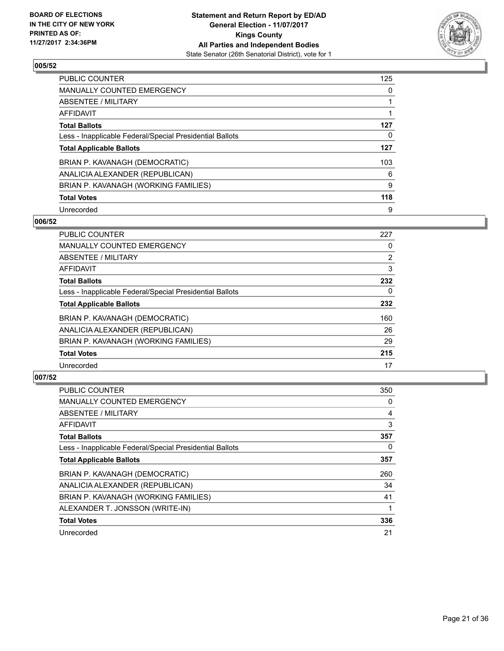![](_page_20_Picture_2.jpeg)

| <b>PUBLIC COUNTER</b>                                    | 125 |
|----------------------------------------------------------|-----|
| <b>MANUALLY COUNTED EMERGENCY</b>                        | 0   |
| ABSENTEE / MILITARY                                      |     |
| <b>AFFIDAVIT</b>                                         |     |
| <b>Total Ballots</b>                                     | 127 |
| Less - Inapplicable Federal/Special Presidential Ballots | 0   |
| <b>Total Applicable Ballots</b>                          | 127 |
| BRIAN P. KAVANAGH (DEMOCRATIC)                           | 103 |
| ANALICIA ALEXANDER (REPUBLICAN)                          | 6   |
| BRIAN P. KAVANAGH (WORKING FAMILIES)                     | 9   |
| <b>Total Votes</b>                                       | 118 |
| Unrecorded                                               | 9   |

#### **006/52**

| <b>PUBLIC COUNTER</b>                                    | 227            |
|----------------------------------------------------------|----------------|
| <b>MANUALLY COUNTED EMERGENCY</b>                        | 0              |
| ABSENTEE / MILITARY                                      | $\overline{2}$ |
| <b>AFFIDAVIT</b>                                         | 3              |
| <b>Total Ballots</b>                                     | 232            |
| Less - Inapplicable Federal/Special Presidential Ballots | 0              |
| <b>Total Applicable Ballots</b>                          | 232            |
| BRIAN P. KAVANAGH (DEMOCRATIC)                           | 160            |
| ANALICIA ALEXANDER (REPUBLICAN)                          | 26             |
| BRIAN P. KAVANAGH (WORKING FAMILIES)                     | 29             |
| <b>Total Votes</b>                                       | 215            |
| Unrecorded                                               | 17             |

| <b>PUBLIC COUNTER</b>                                    | 350 |
|----------------------------------------------------------|-----|
| <b>MANUALLY COUNTED EMERGENCY</b>                        | 0   |
| ABSENTEE / MILITARY                                      | 4   |
| AFFIDAVIT                                                | 3   |
| <b>Total Ballots</b>                                     | 357 |
| Less - Inapplicable Federal/Special Presidential Ballots | 0   |
| <b>Total Applicable Ballots</b>                          | 357 |
| BRIAN P. KAVANAGH (DEMOCRATIC)                           | 260 |
| ANALICIA ALEXANDER (REPUBLICAN)                          | 34  |
| BRIAN P. KAVANAGH (WORKING FAMILIES)                     | 41  |
| ALEXANDER T. JONSSON (WRITE-IN)                          |     |
| <b>Total Votes</b>                                       | 336 |
| Unrecorded                                               | 21  |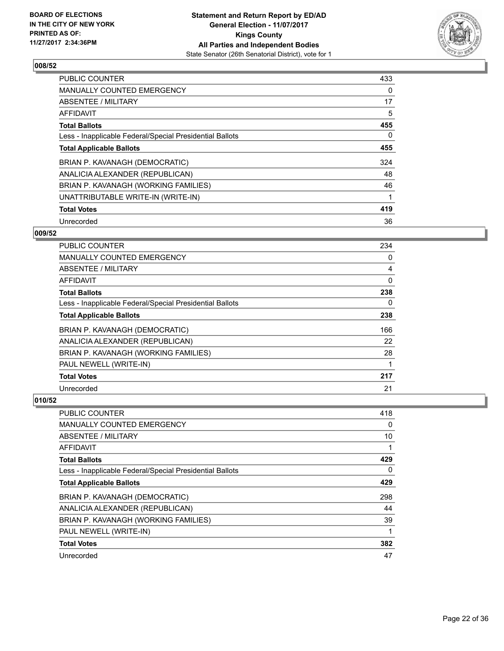![](_page_21_Picture_2.jpeg)

| <b>PUBLIC COUNTER</b>                                    | 433 |
|----------------------------------------------------------|-----|
| <b>MANUALLY COUNTED EMERGENCY</b>                        | 0   |
| ABSENTEE / MILITARY                                      | 17  |
| <b>AFFIDAVIT</b>                                         | 5   |
| <b>Total Ballots</b>                                     | 455 |
| Less - Inapplicable Federal/Special Presidential Ballots | 0   |
| <b>Total Applicable Ballots</b>                          | 455 |
| BRIAN P. KAVANAGH (DEMOCRATIC)                           | 324 |
| ANALICIA ALEXANDER (REPUBLICAN)                          | 48  |
| BRIAN P. KAVANAGH (WORKING FAMILIES)                     | 46  |
| UNATTRIBUTABLE WRITE-IN (WRITE-IN)                       |     |
| <b>Total Votes</b>                                       | 419 |
| Unrecorded                                               | 36  |

## **009/52**

| <b>PUBLIC COUNTER</b>                                    | 234 |
|----------------------------------------------------------|-----|
| <b>MANUALLY COUNTED EMERGENCY</b>                        | 0   |
| ABSENTEE / MILITARY                                      | 4   |
| AFFIDAVIT                                                | 0   |
| <b>Total Ballots</b>                                     | 238 |
| Less - Inapplicable Federal/Special Presidential Ballots | 0   |
| <b>Total Applicable Ballots</b>                          | 238 |
| BRIAN P. KAVANAGH (DEMOCRATIC)                           | 166 |
| ANALICIA ALEXANDER (REPUBLICAN)                          | 22  |
| BRIAN P. KAVANAGH (WORKING FAMILIES)                     | 28  |
| PAUL NEWELL (WRITE-IN)                                   |     |
| <b>Total Votes</b>                                       | 217 |
| Unrecorded                                               | 21  |

| <b>PUBLIC COUNTER</b>                                    | 418 |
|----------------------------------------------------------|-----|
| <b>MANUALLY COUNTED EMERGENCY</b>                        | 0   |
| ABSENTEE / MILITARY                                      | 10  |
| AFFIDAVIT                                                |     |
| <b>Total Ballots</b>                                     | 429 |
| Less - Inapplicable Federal/Special Presidential Ballots | 0   |
| <b>Total Applicable Ballots</b>                          | 429 |
| BRIAN P. KAVANAGH (DEMOCRATIC)                           | 298 |
| ANALICIA ALEXANDER (REPUBLICAN)                          | 44  |
| BRIAN P. KAVANAGH (WORKING FAMILIES)                     | 39  |
| PAUL NEWELL (WRITE-IN)                                   | 1   |
| <b>Total Votes</b>                                       | 382 |
| Unrecorded                                               | 47  |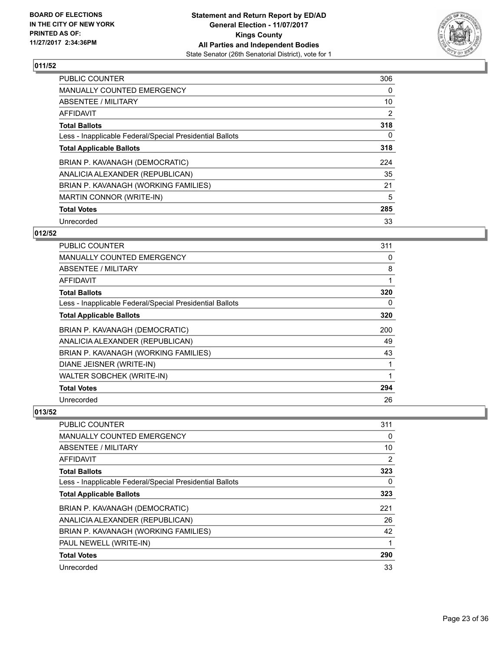![](_page_22_Picture_2.jpeg)

| <b>PUBLIC COUNTER</b>                                    | 306            |
|----------------------------------------------------------|----------------|
| <b>MANUALLY COUNTED EMERGENCY</b>                        | 0              |
| ABSENTEE / MILITARY                                      | 10             |
| AFFIDAVIT                                                | $\overline{2}$ |
| <b>Total Ballots</b>                                     | 318            |
| Less - Inapplicable Federal/Special Presidential Ballots | 0              |
| <b>Total Applicable Ballots</b>                          | 318            |
| BRIAN P. KAVANAGH (DEMOCRATIC)                           | 224            |
| ANALICIA ALEXANDER (REPUBLICAN)                          | 35             |
| BRIAN P. KAVANAGH (WORKING FAMILIES)                     | 21             |
| <b>MARTIN CONNOR (WRITE-IN)</b>                          | 5              |
| <b>Total Votes</b>                                       | 285            |
| Unrecorded                                               | 33             |

## **012/52**

| <b>PUBLIC COUNTER</b>                                    | 311 |
|----------------------------------------------------------|-----|
| <b>MANUALLY COUNTED EMERGENCY</b>                        | 0   |
| ABSENTEE / MILITARY                                      | 8   |
| <b>AFFIDAVIT</b>                                         | 1   |
| <b>Total Ballots</b>                                     | 320 |
| Less - Inapplicable Federal/Special Presidential Ballots | 0   |
| <b>Total Applicable Ballots</b>                          | 320 |
| BRIAN P. KAVANAGH (DEMOCRATIC)                           | 200 |
| ANALICIA ALEXANDER (REPUBLICAN)                          | 49  |
| BRIAN P. KAVANAGH (WORKING FAMILIES)                     | 43  |
| DIANE JEISNER (WRITE-IN)                                 | 1   |
| <b>WALTER SOBCHEK (WRITE-IN)</b>                         | 1   |
| <b>Total Votes</b>                                       | 294 |
| Unrecorded                                               | 26  |

| <b>PUBLIC COUNTER</b>                                    | 311 |
|----------------------------------------------------------|-----|
| <b>MANUALLY COUNTED EMERGENCY</b>                        | 0   |
| ABSENTEE / MILITARY                                      | 10  |
| AFFIDAVIT                                                | 2   |
| <b>Total Ballots</b>                                     | 323 |
| Less - Inapplicable Federal/Special Presidential Ballots | 0   |
| <b>Total Applicable Ballots</b>                          | 323 |
| BRIAN P. KAVANAGH (DEMOCRATIC)                           | 221 |
| ANALICIA ALEXANDER (REPUBLICAN)                          | 26  |
| BRIAN P. KAVANAGH (WORKING FAMILIES)                     | 42  |
| PAUL NEWELL (WRITE-IN)                                   |     |
| <b>Total Votes</b>                                       | 290 |
| Unrecorded                                               | 33  |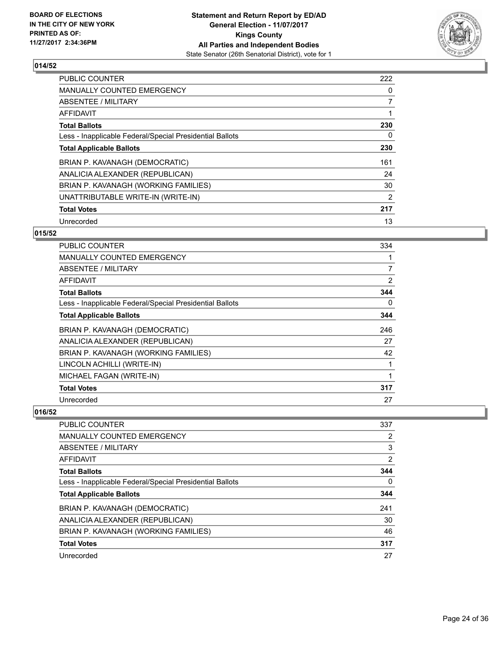![](_page_23_Picture_2.jpeg)

| <b>PUBLIC COUNTER</b>                                    | 222 |
|----------------------------------------------------------|-----|
| <b>MANUALLY COUNTED EMERGENCY</b>                        | 0   |
| ABSENTEE / MILITARY                                      | 7   |
| AFFIDAVIT                                                |     |
| <b>Total Ballots</b>                                     | 230 |
| Less - Inapplicable Federal/Special Presidential Ballots | 0   |
| <b>Total Applicable Ballots</b>                          | 230 |
| BRIAN P. KAVANAGH (DEMOCRATIC)                           | 161 |
| ANALICIA ALEXANDER (REPUBLICAN)                          | 24  |
| BRIAN P. KAVANAGH (WORKING FAMILIES)                     | 30  |
| UNATTRIBUTABLE WRITE-IN (WRITE-IN)                       | 2   |
| <b>Total Votes</b>                                       | 217 |
| Unrecorded                                               | 13  |

## **015/52**

| <b>PUBLIC COUNTER</b>                                    | 334 |
|----------------------------------------------------------|-----|
| MANUALLY COUNTED EMERGENCY                               |     |
| ABSENTEE / MILITARY                                      | 7   |
| AFFIDAVIT                                                | 2   |
| <b>Total Ballots</b>                                     | 344 |
| Less - Inapplicable Federal/Special Presidential Ballots | 0   |
| <b>Total Applicable Ballots</b>                          | 344 |
| BRIAN P. KAVANAGH (DEMOCRATIC)                           | 246 |
| ANALICIA ALEXANDER (REPUBLICAN)                          | 27  |
| BRIAN P. KAVANAGH (WORKING FAMILIES)                     | 42  |
| LINCOLN ACHILLI (WRITE-IN)                               | 1   |
| MICHAEL FAGAN (WRITE-IN)                                 | 1   |
| <b>Total Votes</b>                                       | 317 |
| Unrecorded                                               | 27  |

| <b>PUBLIC COUNTER</b>                                    | 337            |
|----------------------------------------------------------|----------------|
| <b>MANUALLY COUNTED EMERGENCY</b>                        | $\overline{2}$ |
| <b>ABSENTEE / MILITARY</b>                               | 3              |
| <b>AFFIDAVIT</b>                                         | 2              |
| <b>Total Ballots</b>                                     | 344            |
| Less - Inapplicable Federal/Special Presidential Ballots | $\Omega$       |
| <b>Total Applicable Ballots</b>                          | 344            |
| BRIAN P. KAVANAGH (DEMOCRATIC)                           | 241            |
| ANALICIA ALEXANDER (REPUBLICAN)                          | 30             |
| BRIAN P. KAVANAGH (WORKING FAMILIES)                     | 46             |
| <b>Total Votes</b>                                       | 317            |
| Unrecorded                                               | 27             |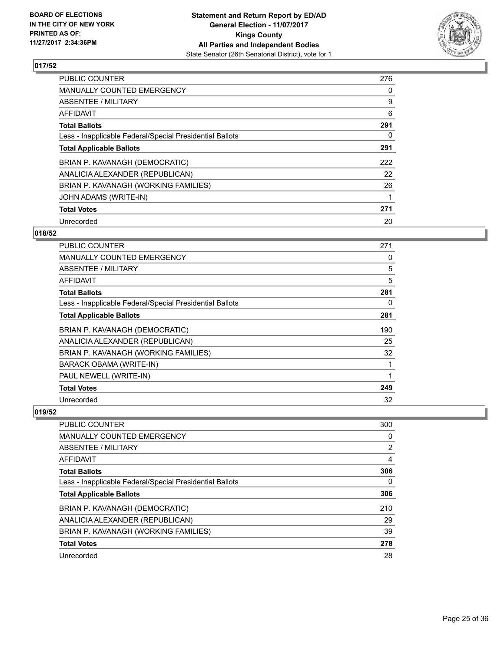![](_page_24_Picture_2.jpeg)

| <b>PUBLIC COUNTER</b>                                    | 276 |
|----------------------------------------------------------|-----|
| <b>MANUALLY COUNTED EMERGENCY</b>                        | 0   |
| ABSENTEE / MILITARY                                      | 9   |
| <b>AFFIDAVIT</b>                                         | 6   |
| <b>Total Ballots</b>                                     | 291 |
| Less - Inapplicable Federal/Special Presidential Ballots | 0   |
| <b>Total Applicable Ballots</b>                          | 291 |
| BRIAN P. KAVANAGH (DEMOCRATIC)                           | 222 |
| ANALICIA ALEXANDER (REPUBLICAN)                          | 22  |
| BRIAN P. KAVANAGH (WORKING FAMILIES)                     | 26  |
| JOHN ADAMS (WRITE-IN)                                    |     |
| <b>Total Votes</b>                                       | 271 |
| Unrecorded                                               | 20  |

# **018/52**

| PUBLIC COUNTER                                           | 271 |
|----------------------------------------------------------|-----|
| <b>MANUALLY COUNTED EMERGENCY</b>                        | 0   |
| ABSENTEE / MILITARY                                      | 5   |
| AFFIDAVIT                                                | 5   |
| <b>Total Ballots</b>                                     | 281 |
| Less - Inapplicable Federal/Special Presidential Ballots | 0   |
| <b>Total Applicable Ballots</b>                          | 281 |
| BRIAN P. KAVANAGH (DEMOCRATIC)                           | 190 |
| ANALICIA ALEXANDER (REPUBLICAN)                          | 25  |
| BRIAN P. KAVANAGH (WORKING FAMILIES)                     | 32  |
| <b>BARACK OBAMA (WRITE-IN)</b>                           | 1   |
| PAUL NEWELL (WRITE-IN)                                   | 1   |
| <b>Total Votes</b>                                       | 249 |
| Unrecorded                                               | 32  |

| <b>PUBLIC COUNTER</b>                                    | 300            |
|----------------------------------------------------------|----------------|
| <b>MANUALLY COUNTED EMERGENCY</b>                        | 0              |
| ABSENTEE / MILITARY                                      | $\overline{2}$ |
| <b>AFFIDAVIT</b>                                         | 4              |
| <b>Total Ballots</b>                                     | 306            |
| Less - Inapplicable Federal/Special Presidential Ballots | 0              |
| <b>Total Applicable Ballots</b>                          | 306            |
| BRIAN P. KAVANAGH (DEMOCRATIC)                           | 210            |
| ANALICIA ALEXANDER (REPUBLICAN)                          | 29             |
| BRIAN P. KAVANAGH (WORKING FAMILIES)                     | 39             |
| <b>Total Votes</b>                                       | 278            |
| Unrecorded                                               | 28             |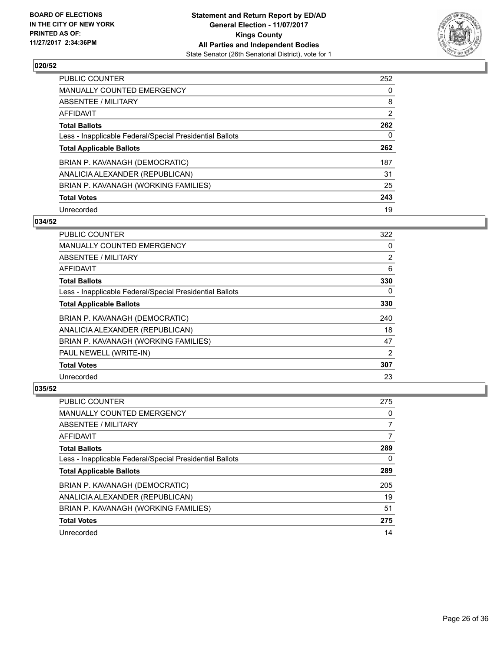![](_page_25_Picture_2.jpeg)

| <b>PUBLIC COUNTER</b>                                    | 252            |
|----------------------------------------------------------|----------------|
| <b>MANUALLY COUNTED EMERGENCY</b>                        | 0              |
| ABSENTEE / MILITARY                                      | 8              |
| AFFIDAVIT                                                | $\overline{2}$ |
| <b>Total Ballots</b>                                     | 262            |
| Less - Inapplicable Federal/Special Presidential Ballots | 0              |
| <b>Total Applicable Ballots</b>                          | 262            |
| BRIAN P. KAVANAGH (DEMOCRATIC)                           | 187            |
| ANALICIA ALEXANDER (REPUBLICAN)                          | 31             |
| BRIAN P. KAVANAGH (WORKING FAMILIES)                     | 25             |
| <b>Total Votes</b>                                       | 243            |
| Unrecorded                                               | 19             |

#### **034/52**

| <b>PUBLIC COUNTER</b>                                    | 322 |
|----------------------------------------------------------|-----|
| <b>MANUALLY COUNTED EMERGENCY</b>                        | 0   |
| ABSENTEE / MILITARY                                      | 2   |
| <b>AFFIDAVIT</b>                                         | 6   |
| <b>Total Ballots</b>                                     | 330 |
| Less - Inapplicable Federal/Special Presidential Ballots | 0   |
| <b>Total Applicable Ballots</b>                          | 330 |
| BRIAN P. KAVANAGH (DEMOCRATIC)                           | 240 |
| ANALICIA ALEXANDER (REPUBLICAN)                          | 18  |
| BRIAN P. KAVANAGH (WORKING FAMILIES)                     | 47  |
| PAUL NEWELL (WRITE-IN)                                   | 2   |
| <b>Total Votes</b>                                       | 307 |
| Unrecorded                                               | 23  |

| <b>PUBLIC COUNTER</b>                                    | 275 |
|----------------------------------------------------------|-----|
| <b>MANUALLY COUNTED EMERGENCY</b>                        | 0   |
| ABSENTEE / MILITARY                                      | 7   |
| AFFIDAVIT                                                | 7   |
| <b>Total Ballots</b>                                     | 289 |
| Less - Inapplicable Federal/Special Presidential Ballots | 0   |
| <b>Total Applicable Ballots</b>                          | 289 |
| BRIAN P. KAVANAGH (DEMOCRATIC)                           | 205 |
| ANALICIA ALEXANDER (REPUBLICAN)                          | 19  |
| BRIAN P. KAVANAGH (WORKING FAMILIES)                     | 51  |
| <b>Total Votes</b>                                       | 275 |
| Unrecorded                                               | 14  |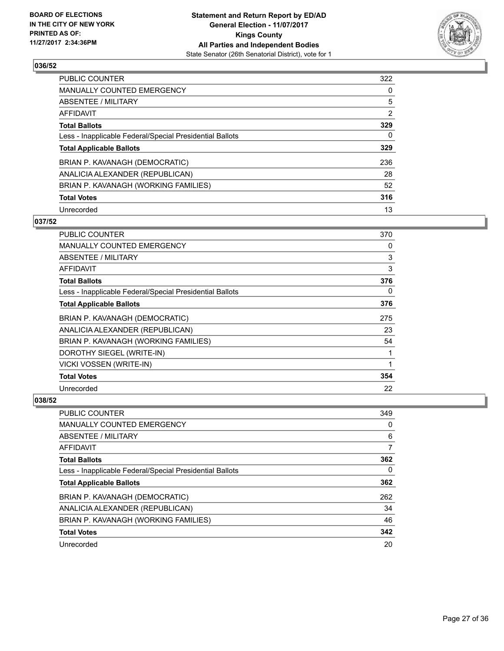![](_page_26_Picture_2.jpeg)

| <b>PUBLIC COUNTER</b>                                    | 322 |
|----------------------------------------------------------|-----|
| <b>MANUALLY COUNTED EMERGENCY</b>                        | 0   |
| ABSENTEE / MILITARY                                      | 5   |
| AFFIDAVIT                                                | 2   |
| <b>Total Ballots</b>                                     | 329 |
| Less - Inapplicable Federal/Special Presidential Ballots | 0   |
| <b>Total Applicable Ballots</b>                          | 329 |
| BRIAN P. KAVANAGH (DEMOCRATIC)                           | 236 |
| ANALICIA ALEXANDER (REPUBLICAN)                          | 28  |
| BRIAN P. KAVANAGH (WORKING FAMILIES)                     | 52  |
| <b>Total Votes</b>                                       | 316 |
| Unrecorded                                               | 13  |

## **037/52**

| <b>PUBLIC COUNTER</b>                                    | 370 |
|----------------------------------------------------------|-----|
| MANUALLY COUNTED EMERGENCY                               | 0   |
| ABSENTEE / MILITARY                                      | 3   |
| AFFIDAVIT                                                | 3   |
| <b>Total Ballots</b>                                     | 376 |
| Less - Inapplicable Federal/Special Presidential Ballots | 0   |
| <b>Total Applicable Ballots</b>                          | 376 |
| BRIAN P. KAVANAGH (DEMOCRATIC)                           | 275 |
| ANALICIA ALEXANDER (REPUBLICAN)                          | 23  |
| BRIAN P. KAVANAGH (WORKING FAMILIES)                     | 54  |
| DOROTHY SIEGEL (WRITE-IN)                                | 1   |
| VICKI VOSSEN (WRITE-IN)                                  | 1   |
| <b>Total Votes</b>                                       | 354 |
| Unrecorded                                               | 22  |

| <b>PUBLIC COUNTER</b>                                    | 349 |
|----------------------------------------------------------|-----|
| <b>MANUALLY COUNTED EMERGENCY</b>                        | 0   |
| ABSENTEE / MILITARY                                      | 6   |
| AFFIDAVIT                                                | 7   |
| <b>Total Ballots</b>                                     | 362 |
| Less - Inapplicable Federal/Special Presidential Ballots | 0   |
| <b>Total Applicable Ballots</b>                          | 362 |
| BRIAN P. KAVANAGH (DEMOCRATIC)                           | 262 |
| ANALICIA ALEXANDER (REPUBLICAN)                          | 34  |
| BRIAN P. KAVANAGH (WORKING FAMILIES)                     | 46  |
| <b>Total Votes</b>                                       | 342 |
| Unrecorded                                               | 20  |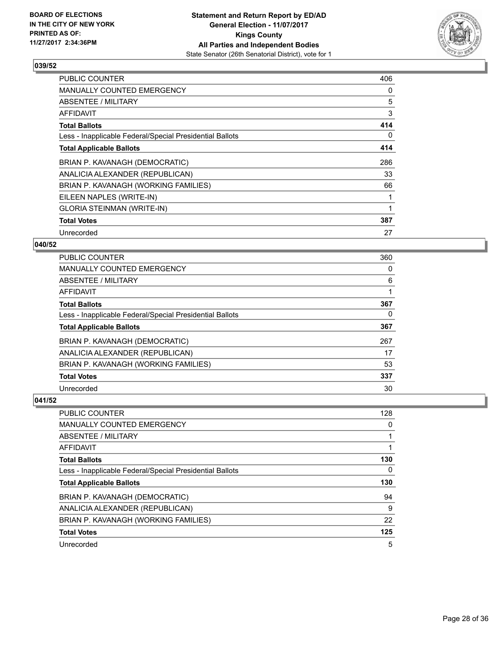![](_page_27_Picture_2.jpeg)

| <b>PUBLIC COUNTER</b>                                    | 406 |
|----------------------------------------------------------|-----|
| <b>MANUALLY COUNTED EMERGENCY</b>                        | 0   |
| ABSENTEE / MILITARY                                      | 5   |
| AFFIDAVIT                                                | 3   |
| <b>Total Ballots</b>                                     | 414 |
| Less - Inapplicable Federal/Special Presidential Ballots | 0   |
| <b>Total Applicable Ballots</b>                          | 414 |
| BRIAN P. KAVANAGH (DEMOCRATIC)                           | 286 |
| ANALICIA ALEXANDER (REPUBLICAN)                          | 33  |
| BRIAN P. KAVANAGH (WORKING FAMILIES)                     | 66  |
| EILEEN NAPLES (WRITE-IN)                                 |     |
| <b>GLORIA STEINMAN (WRITE-IN)</b>                        |     |
| <b>Total Votes</b>                                       | 387 |
| Unrecorded                                               | 27  |

## **040/52**

| <b>PUBLIC COUNTER</b>                                    | 360 |
|----------------------------------------------------------|-----|
| MANUALLY COUNTED EMERGENCY                               | 0   |
| ABSENTEE / MILITARY                                      | 6   |
| AFFIDAVIT                                                |     |
| <b>Total Ballots</b>                                     | 367 |
| Less - Inapplicable Federal/Special Presidential Ballots | 0   |
| <b>Total Applicable Ballots</b>                          | 367 |
| BRIAN P. KAVANAGH (DEMOCRATIC)                           | 267 |
| ANALICIA ALEXANDER (REPUBLICAN)                          | 17  |
| BRIAN P. KAVANAGH (WORKING FAMILIES)                     | 53  |
| <b>Total Votes</b>                                       | 337 |
| Unrecorded                                               | 30  |

| <b>PUBLIC COUNTER</b>                                    | 128 |
|----------------------------------------------------------|-----|
| <b>MANUALLY COUNTED EMERGENCY</b>                        | 0   |
| ABSENTEE / MILITARY                                      |     |
| AFFIDAVIT                                                |     |
| <b>Total Ballots</b>                                     | 130 |
| Less - Inapplicable Federal/Special Presidential Ballots | 0   |
| <b>Total Applicable Ballots</b>                          | 130 |
|                                                          |     |
| BRIAN P. KAVANAGH (DEMOCRATIC)                           | 94  |
| ANALICIA ALEXANDER (REPUBLICAN)                          | 9   |
| BRIAN P. KAVANAGH (WORKING FAMILIES)                     | 22  |
| <b>Total Votes</b>                                       | 125 |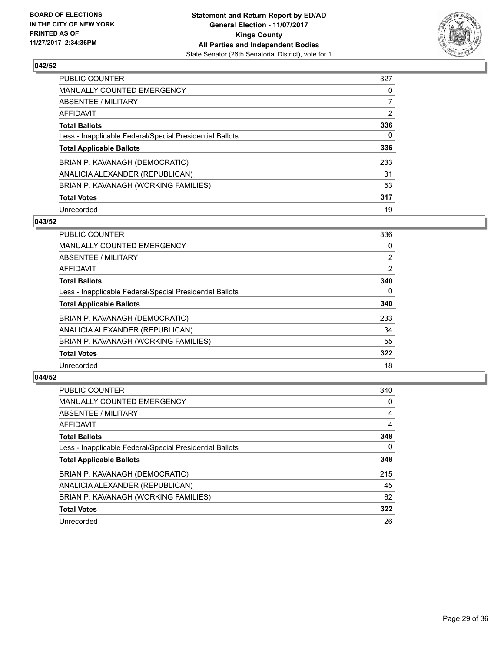![](_page_28_Picture_2.jpeg)

| <b>PUBLIC COUNTER</b>                                    | 327            |
|----------------------------------------------------------|----------------|
| <b>MANUALLY COUNTED EMERGENCY</b>                        | 0              |
| ABSENTEE / MILITARY                                      | $\overline{7}$ |
| AFFIDAVIT                                                | 2              |
| <b>Total Ballots</b>                                     | 336            |
| Less - Inapplicable Federal/Special Presidential Ballots | 0              |
| <b>Total Applicable Ballots</b>                          | 336            |
| BRIAN P. KAVANAGH (DEMOCRATIC)                           | 233            |
| ANALICIA ALEXANDER (REPUBLICAN)                          | 31             |
| BRIAN P. KAVANAGH (WORKING FAMILIES)                     | 53             |
| <b>Total Votes</b>                                       | 317            |
| Unrecorded                                               | 19             |

## **043/52**

| <b>PUBLIC COUNTER</b>                                    | 336            |
|----------------------------------------------------------|----------------|
| <b>MANUALLY COUNTED EMERGENCY</b>                        | 0              |
| ABSENTEE / MILITARY                                      | $\overline{2}$ |
| <b>AFFIDAVIT</b>                                         | 2              |
| <b>Total Ballots</b>                                     | 340            |
| Less - Inapplicable Federal/Special Presidential Ballots | $\Omega$       |
| <b>Total Applicable Ballots</b>                          | 340            |
| BRIAN P. KAVANAGH (DEMOCRATIC)                           | 233            |
| ANALICIA ALEXANDER (REPUBLICAN)                          | 34             |
| BRIAN P. KAVANAGH (WORKING FAMILIES)                     | 55             |
| <b>Total Votes</b>                                       | 322            |
| Unrecorded                                               | 18             |

| <b>PUBLIC COUNTER</b>                                    | 340 |
|----------------------------------------------------------|-----|
| <b>MANUALLY COUNTED EMERGENCY</b>                        | 0   |
| ABSENTEE / MILITARY                                      | 4   |
| <b>AFFIDAVIT</b>                                         | 4   |
| <b>Total Ballots</b>                                     | 348 |
| Less - Inapplicable Federal/Special Presidential Ballots | 0   |
| <b>Total Applicable Ballots</b>                          | 348 |
| BRIAN P. KAVANAGH (DEMOCRATIC)                           | 215 |
| ANALICIA ALEXANDER (REPUBLICAN)                          | 45  |
| BRIAN P. KAVANAGH (WORKING FAMILIES)                     | 62  |
| <b>Total Votes</b>                                       | 322 |
| Unrecorded                                               | 26  |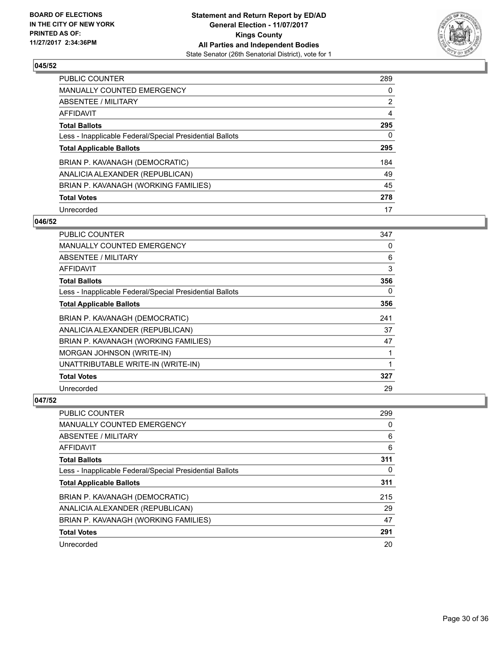![](_page_29_Picture_2.jpeg)

| <b>PUBLIC COUNTER</b>                                    | 289            |
|----------------------------------------------------------|----------------|
| <b>MANUALLY COUNTED EMERGENCY</b>                        | 0              |
| ABSENTEE / MILITARY                                      | $\overline{2}$ |
| AFFIDAVIT                                                | 4              |
| <b>Total Ballots</b>                                     | 295            |
| Less - Inapplicable Federal/Special Presidential Ballots | 0              |
| <b>Total Applicable Ballots</b>                          | 295            |
| BRIAN P. KAVANAGH (DEMOCRATIC)                           | 184            |
| ANALICIA ALEXANDER (REPUBLICAN)                          | 49             |
| BRIAN P. KAVANAGH (WORKING FAMILIES)                     | 45             |
| <b>Total Votes</b>                                       | 278            |
| Unrecorded                                               | 17             |

## **046/52**

| <b>PUBLIC COUNTER</b>                                    | 347 |
|----------------------------------------------------------|-----|
| <b>MANUALLY COUNTED EMERGENCY</b>                        | 0   |
| ABSENTEE / MILITARY                                      | 6   |
| AFFIDAVIT                                                | 3   |
| <b>Total Ballots</b>                                     | 356 |
| Less - Inapplicable Federal/Special Presidential Ballots | 0   |
| <b>Total Applicable Ballots</b>                          | 356 |
| BRIAN P. KAVANAGH (DEMOCRATIC)                           | 241 |
| ANALICIA ALEXANDER (REPUBLICAN)                          | 37  |
| BRIAN P. KAVANAGH (WORKING FAMILIES)                     | 47  |
| MORGAN JOHNSON (WRITE-IN)                                | 1   |
| UNATTRIBUTABLE WRITE-IN (WRITE-IN)                       | 1   |
| <b>Total Votes</b>                                       | 327 |
| Unrecorded                                               | 29  |

| <b>PUBLIC COUNTER</b>                                    | 299 |
|----------------------------------------------------------|-----|
| <b>MANUALLY COUNTED EMERGENCY</b>                        | 0   |
| ABSENTEE / MILITARY                                      | 6   |
| AFFIDAVIT                                                | 6   |
| <b>Total Ballots</b>                                     | 311 |
| Less - Inapplicable Federal/Special Presidential Ballots | 0   |
| <b>Total Applicable Ballots</b>                          | 311 |
| BRIAN P. KAVANAGH (DEMOCRATIC)                           | 215 |
| ANALICIA ALEXANDER (REPUBLICAN)                          | 29  |
| BRIAN P. KAVANAGH (WORKING FAMILIES)                     | 47  |
| <b>Total Votes</b>                                       | 291 |
| Unrecorded                                               | 20  |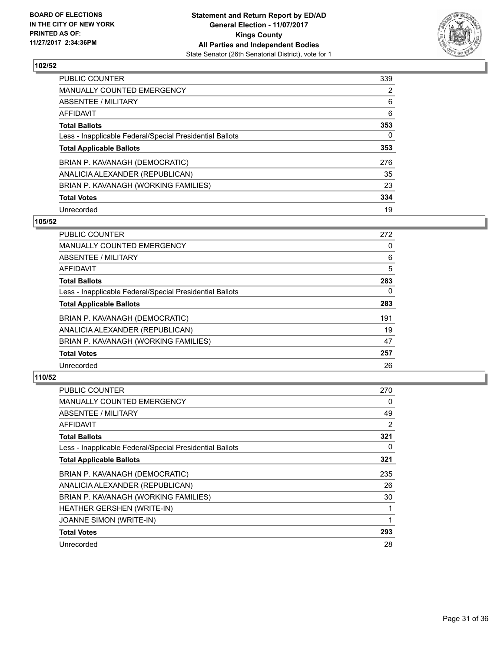![](_page_30_Picture_2.jpeg)

| <b>PUBLIC COUNTER</b>                                    | 339 |
|----------------------------------------------------------|-----|
| <b>MANUALLY COUNTED EMERGENCY</b>                        | 2   |
| ABSENTEE / MILITARY                                      | 6   |
| AFFIDAVIT                                                | 6   |
| <b>Total Ballots</b>                                     | 353 |
| Less - Inapplicable Federal/Special Presidential Ballots | 0   |
| <b>Total Applicable Ballots</b>                          | 353 |
| BRIAN P. KAVANAGH (DEMOCRATIC)                           | 276 |
| ANALICIA ALEXANDER (REPUBLICAN)                          | 35  |
| BRIAN P. KAVANAGH (WORKING FAMILIES)                     | 23  |
| <b>Total Votes</b>                                       | 334 |
| Unrecorded                                               | 19  |

#### **105/52**

| <b>PUBLIC COUNTER</b>                                    | 272 |
|----------------------------------------------------------|-----|
| <b>MANUALLY COUNTED EMERGENCY</b>                        | 0   |
| ABSENTEE / MILITARY                                      | 6   |
| <b>AFFIDAVIT</b>                                         | 5   |
| <b>Total Ballots</b>                                     | 283 |
| Less - Inapplicable Federal/Special Presidential Ballots | 0   |
| <b>Total Applicable Ballots</b>                          | 283 |
| BRIAN P. KAVANAGH (DEMOCRATIC)                           | 191 |
| ANALICIA ALEXANDER (REPUBLICAN)                          | 19  |
| BRIAN P. KAVANAGH (WORKING FAMILIES)                     | 47  |
| <b>Total Votes</b>                                       | 257 |
| Unrecorded                                               | 26  |

| <b>PUBLIC COUNTER</b>                                    | 270 |
|----------------------------------------------------------|-----|
| <b>MANUALLY COUNTED EMERGENCY</b>                        | 0   |
| ABSENTEE / MILITARY                                      | 49  |
| AFFIDAVIT                                                | 2   |
| <b>Total Ballots</b>                                     | 321 |
| Less - Inapplicable Federal/Special Presidential Ballots | 0   |
| <b>Total Applicable Ballots</b>                          | 321 |
| BRIAN P. KAVANAGH (DEMOCRATIC)                           | 235 |
| ANALICIA ALEXANDER (REPUBLICAN)                          | 26  |
| BRIAN P. KAVANAGH (WORKING FAMILIES)                     | 30  |
| HEATHER GERSHEN (WRITE-IN)                               |     |
| <b>JOANNE SIMON (WRITE-IN)</b>                           | 1   |
| <b>Total Votes</b>                                       | 293 |
| Unrecorded                                               | 28  |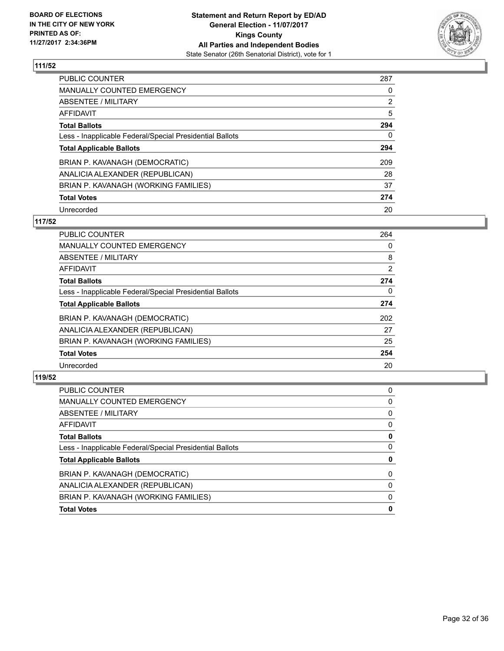![](_page_31_Picture_2.jpeg)

| <b>PUBLIC COUNTER</b>                                    | 287            |
|----------------------------------------------------------|----------------|
| MANUALLY COUNTED EMERGENCY                               | 0              |
| ABSENTEE / MILITARY                                      | $\overline{2}$ |
| AFFIDAVIT                                                | 5              |
| <b>Total Ballots</b>                                     | 294            |
| Less - Inapplicable Federal/Special Presidential Ballots | 0              |
| <b>Total Applicable Ballots</b>                          | 294            |
| BRIAN P. KAVANAGH (DEMOCRATIC)                           | 209            |
| ANALICIA ALEXANDER (REPUBLICAN)                          | 28             |
| BRIAN P. KAVANAGH (WORKING FAMILIES)                     | 37             |
| <b>Total Votes</b>                                       | 274            |
| Unrecorded                                               | 20             |

#### **117/52**

| <b>PUBLIC COUNTER</b>                                    | 264      |
|----------------------------------------------------------|----------|
| <b>MANUALLY COUNTED EMERGENCY</b>                        | 0        |
| ABSENTEE / MILITARY                                      | 8        |
| AFFIDAVIT                                                | 2        |
| <b>Total Ballots</b>                                     | 274      |
| Less - Inapplicable Federal/Special Presidential Ballots | $\Omega$ |
| <b>Total Applicable Ballots</b>                          | 274      |
| BRIAN P. KAVANAGH (DEMOCRATIC)                           | 202      |
| ANALICIA ALEXANDER (REPUBLICAN)                          | 27       |
| BRIAN P. KAVANAGH (WORKING FAMILIES)                     | 25       |
| <b>Total Votes</b>                                       | 254      |
| Unrecorded                                               | 20       |

| 0 |
|---|
| 0 |
| 0 |
| 0 |
| 0 |
| 0 |
| 0 |
| 0 |
| 0 |
| 0 |
| 0 |
|   |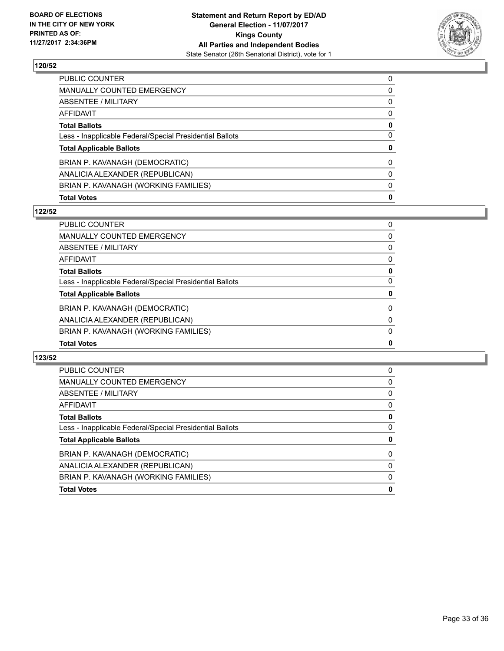![](_page_32_Picture_2.jpeg)

| <b>Total Votes</b>                                       | 0 |
|----------------------------------------------------------|---|
| BRIAN P. KAVANAGH (WORKING FAMILIES)                     | 0 |
| ANALICIA ALEXANDER (REPUBLICAN)                          | 0 |
| BRIAN P. KAVANAGH (DEMOCRATIC)                           | 0 |
| <b>Total Applicable Ballots</b>                          | 0 |
| Less - Inapplicable Federal/Special Presidential Ballots | 0 |
| <b>Total Ballots</b>                                     | 0 |
| AFFIDAVIT                                                | 0 |
| ABSENTEE / MILITARY                                      | 0 |
| MANUALLY COUNTED EMERGENCY                               | 0 |
| <b>PUBLIC COUNTER</b>                                    | 0 |

## **122/52**

| <b>Total Votes</b>                                       | 0        |
|----------------------------------------------------------|----------|
| BRIAN P. KAVANAGH (WORKING FAMILIES)                     | 0        |
| ANALICIA ALEXANDER (REPUBLICAN)                          | 0        |
| BRIAN P. KAVANAGH (DEMOCRATIC)                           | $\Omega$ |
| <b>Total Applicable Ballots</b>                          | 0        |
| Less - Inapplicable Federal/Special Presidential Ballots | 0        |
| <b>Total Ballots</b>                                     | 0        |
| <b>AFFIDAVIT</b>                                         | 0        |
| <b>ABSENTEE / MILITARY</b>                               | 0        |
| <b>MANUALLY COUNTED EMERGENCY</b>                        | 0        |
| <b>PUBLIC COUNTER</b>                                    | 0        |

| <b>PUBLIC COUNTER</b>                                    | 0 |
|----------------------------------------------------------|---|
| MANUALLY COUNTED EMERGENCY                               | 0 |
| ABSENTEE / MILITARY                                      | 0 |
| AFFIDAVIT                                                | 0 |
| <b>Total Ballots</b>                                     | 0 |
| Less - Inapplicable Federal/Special Presidential Ballots | 0 |
| <b>Total Applicable Ballots</b>                          | 0 |
| BRIAN P. KAVANAGH (DEMOCRATIC)                           | 0 |
| ANALICIA ALEXANDER (REPUBLICAN)                          | 0 |
| BRIAN P. KAVANAGH (WORKING FAMILIES)                     | 0 |
| <b>Total Votes</b>                                       | 0 |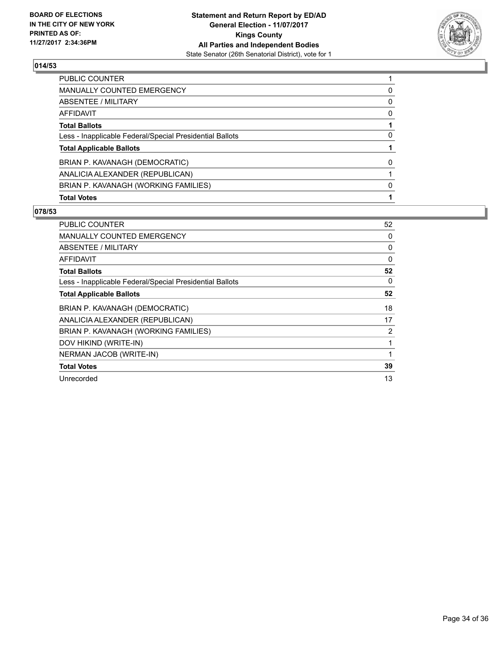![](_page_33_Picture_2.jpeg)

| <b>PUBLIC COUNTER</b>                                    |   |
|----------------------------------------------------------|---|
| <b>MANUALLY COUNTED EMERGENCY</b>                        | 0 |
| ABSENTEE / MILITARY                                      | 0 |
| AFFIDAVIT                                                | 0 |
| <b>Total Ballots</b>                                     |   |
| Less - Inapplicable Federal/Special Presidential Ballots | 0 |
| <b>Total Applicable Ballots</b>                          |   |
| BRIAN P. KAVANAGH (DEMOCRATIC)                           | 0 |
| ANALICIA ALEXANDER (REPUBLICAN)                          |   |
| BRIAN P. KAVANAGH (WORKING FAMILIES)                     | 0 |
| <b>Total Votes</b>                                       |   |

| <b>PUBLIC COUNTER</b>                                    | 52 |
|----------------------------------------------------------|----|
| <b>MANUALLY COUNTED EMERGENCY</b>                        | 0  |
| ABSENTEE / MILITARY                                      | 0  |
| AFFIDAVIT                                                | 0  |
| <b>Total Ballots</b>                                     | 52 |
| Less - Inapplicable Federal/Special Presidential Ballots | 0  |
| <b>Total Applicable Ballots</b>                          | 52 |
| BRIAN P. KAVANAGH (DEMOCRATIC)                           | 18 |
| ANALICIA ALEXANDER (REPUBLICAN)                          | 17 |
| BRIAN P. KAVANAGH (WORKING FAMILIES)                     | 2  |
| DOV HIKIND (WRITE-IN)                                    | 1  |
| NERMAN JACOB (WRITE-IN)                                  | 1  |
| <b>Total Votes</b>                                       | 39 |
| Unrecorded                                               | 13 |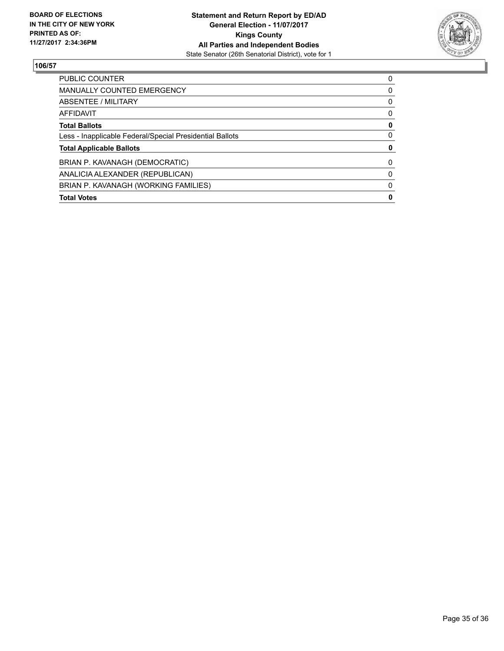![](_page_34_Picture_2.jpeg)

| <b>PUBLIC COUNTER</b>                                    | 0 |
|----------------------------------------------------------|---|
| MANUALLY COUNTED EMERGENCY                               | 0 |
| ABSENTEE / MILITARY                                      | 0 |
| AFFIDAVIT                                                | 0 |
| <b>Total Ballots</b>                                     | 0 |
| Less - Inapplicable Federal/Special Presidential Ballots | 0 |
| <b>Total Applicable Ballots</b>                          | 0 |
| BRIAN P. KAVANAGH (DEMOCRATIC)                           | 0 |
| ANALICIA ALEXANDER (REPUBLICAN)                          | 0 |
| BRIAN P. KAVANAGH (WORKING FAMILIES)                     | 0 |
| <b>Total Votes</b>                                       | 0 |